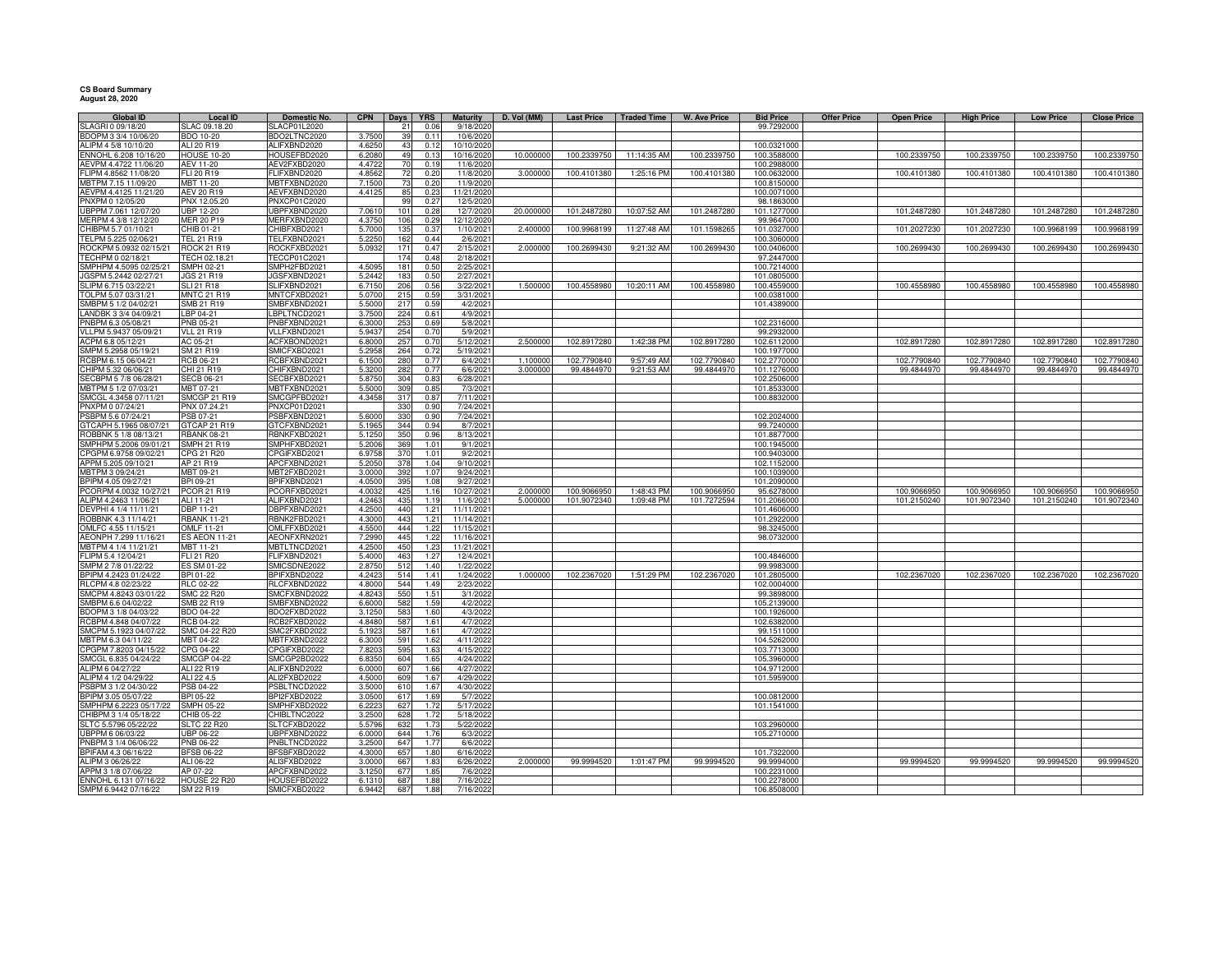| <b>Global ID</b>                                | <b>Local ID</b>                    | Domestic No.                 |                  | CPN   Days   YRS |              | <b>Maturity</b>        | D. Vol (MM) |             | Last Price   Traded Time | <b>W. Ave Price</b> | <b>Bid Price</b>          | <b>Offer Price</b> | <b>Open Price</b> | <b>High Price</b> | <b>Low Price</b> | <b>Close Price</b> |
|-------------------------------------------------|------------------------------------|------------------------------|------------------|------------------|--------------|------------------------|-------------|-------------|--------------------------|---------------------|---------------------------|--------------------|-------------------|-------------------|------------------|--------------------|
| SLAGRI 0 09/18/20                               | SLAC 09.18.20                      | SLACP01L2020                 |                  | 21               | 0.06         | 9/18/2020              |             |             |                          |                     | 99.7292000                |                    |                   |                   |                  |                    |
| BDOPM 3 3/4 10/06/20                            | <b>BDO 10-20</b>                   | BDO2LTNC2020                 | 3.7500           | 39               | 0.1          | 10/6/2020              |             |             |                          |                     |                           |                    |                   |                   |                  |                    |
| ALIPM 4 5/8 10/10/20                            | ALI 20 R19                         | ALIFXBND2020                 | 4.625            | 43               | 0.12         | 10/10/2020             |             |             |                          |                     | 100.0321000               |                    |                   |                   |                  |                    |
| ENNOHL 6.208 10/16/20                           | <b>HOUSE 10-20</b>                 | HOUSEFBD2020                 | 6.208            | 49               | 0.13         | 10/16/2020             | 10.000000   | 100.2339750 | 11:14:35 AM              | 100.2339750         | 100.3588000               |                    | 100.2339750       | 100.2339750       | 100.2339750      | 100.2339750        |
| AEVPM 4.4722 11/06/20                           | AEV 11-20                          | AEV2FXBD2020                 | 4.4722           | 70               | 0.19         | 11/6/2020              |             |             |                          |                     | 100.2988000               |                    |                   |                   |                  |                    |
| FLIPM 4.8562 11/08/20                           | FLI 20 R19                         | FLIFXBND2020                 | 4.856            | 72               | 0.20         | 11/8/2020              | 3.000000    | 100.4101380 | 1:25:16 PM               | 100.4101380         | 100.0632000               |                    | 100.4101380       | 100.4101380       | 100.4101380      | 100.4101380        |
| MBTPM 7.15 11/09/20                             | MBT 11-20                          | MBTFXBND2020                 | 7.150            | 73               | 0.20         | 11/9/2020              |             |             |                          |                     | 100.8150000               |                    |                   |                   |                  |                    |
| AEVPM 4.4125 11/21/20                           | <b>AEV 20 R19</b>                  | AEVFXBND2020                 | 4.412            | 85               | 0.23         | 11/21/2020             |             |             |                          |                     | 100.0071000               |                    |                   |                   |                  |                    |
| PNXPM 0 12/05/20                                | PNX 12.05.20                       | PNXCP01C2020                 |                  | 99               | 0.27         | 12/5/2020              |             |             |                          |                     | 98.1863000                |                    |                   |                   |                  |                    |
| UBPPM 7.061 12/07/20                            | <b>UBP 12-20</b>                   | UBPFXBND2020                 | 7.061            | 101              | 0.28         | 12/7/2020              | 20.000000   | 101.2487280 | 10:07:52 AM              | 101.2487280         | 101.1277000               |                    | 101.2487280       | 101.2487280       | 101.2487280      | 101.2487280        |
| MERPM 4 3/8 12/12/20                            | MER 20 P19                         | MERFXBND2020                 | 4.3750           | 106              | 0.29         | 12/12/2020             |             |             |                          |                     | 99.9647000                |                    |                   |                   |                  |                    |
| CHIBPM 5.7 01/10/21                             | CHIB 01-21                         | CHIBFXBD2021                 | 5.7000           | 135              | 0.37         | 1/10/2021              | 2.400000    | 100.9968199 | 11:27:48 AM              | 101.1598265         | 101.0327000               |                    | 101.2027230       | 101.2027230       | 100.9968199      | 100.9968199        |
| TELPM 5.225 02/06/21                            | <b>TEL 21 R19</b>                  | TELFXBND2021                 | 5.2250           | 162              | 0.44         | 2/6/2021               | 2.000000    |             |                          |                     | 100.3060000               |                    |                   |                   |                  |                    |
| ROCKPM 5.0932 02/15/21                          | ROCK 21 R19<br>TECH 02.18.21       | ROCKFXBD2021<br>TECCP01C2021 | 5.0932           | 171<br>174       | 0.47<br>0.48 | 2/15/2021<br>2/18/2021 |             | 100.2699430 | 9:21:32 AM               | 100.2699430         | 100.0406000<br>97.2447000 |                    | 100.2699430       | 100.2699430       | 100.2699430      | 100.2699430        |
| TECHPM 0 02/18/21<br>SMPHPM 4.5095 02/25/21     | SMPH 02-21                         | SMPH2FBD2021                 | 4.509            | 181              | 0.5C         | 2/25/2021              |             |             |                          |                     | 100.7214000               |                    |                   |                   |                  |                    |
| JGSPM 5.2442 02/27/21                           | JGS 21 R19                         | JGSFXBND2021                 | 5.2442           | 183              | 0.50         | 2/27/2021              |             |             |                          |                     | 101.0805000               |                    |                   |                   |                  |                    |
| SLIPM 6.715 03/22/21                            | <b>SLI 21 R18</b>                  | SLIFXBND2021                 | 6.7150           | 206              | 0.56         | 3/22/2021              | 1.500000    | 100.4558980 | 10:20:11 AM              | 100.4558980         | 100.4559000               |                    | 100.4558980       | 100.4558980       | 100.4558980      | 100.4558980        |
| TOLPM 5.07 03/31/21                             | <b>MNTC 21 R19</b>                 | MNTCFXBD2021                 | 5.0700           | 215              | 0.59         | 3/31/2021              |             |             |                          |                     | 100.0381000               |                    |                   |                   |                  |                    |
| SMBPM 5 1/2 04/02/21                            | SMB 21 R19                         | SMBFXBND2021                 | 5.5000           | 217              | 0.59         | 4/2/2021               |             |             |                          |                     | 101.4389000               |                    |                   |                   |                  |                    |
| LANDBK 3 3/4 04/09/21                           | LBP 04-21                          | LBPLTNCD2021                 | 3.7500           | 224              | 0.61         | 4/9/2021               |             |             |                          |                     |                           |                    |                   |                   |                  |                    |
| PNBPM 6.3 05/08/21                              | PNB 05-21                          | PNBFXBND2021                 | 6.3000           | 253              | 0.69         | 5/8/2021               |             |             |                          |                     | 102.2316000               |                    |                   |                   |                  |                    |
| VLLPM 5.9437 05/09/21                           | <b>VLL 21 R19</b>                  | VLLFXBND2021                 | 5.9437           | 254              | 0.70         | 5/9/2021               |             |             |                          |                     | 99.2932000                |                    |                   |                   |                  |                    |
| ACPM 6.8 05/12/21                               | AC 05-21                           | ACFXBOND2021                 | 6.8000           | 257              | 0.70         | 5/12/2021              | 2.500000    | 102.8917280 | 1:42:38 PM               | 102.8917280         | 102.6112000               |                    | 102.8917280       | 102.8917280       | 102.8917280      | 102.8917280        |
| SMPM 5.2958 05/19/21                            | SM 21 R19                          | SMICFXBD2021                 | 5.2958           | 264              | 0.72         | 5/19/2021              |             |             |                          |                     | 100.1977000               |                    |                   |                   |                  |                    |
| RCBPM 6.15 06/04/21                             | RCB 06-21                          | RCBFXBND2021                 | 6.1500           | 280              | 0.77         | 6/4/2021               | 1.10000     | 102.7790840 | 9:57:49 AM               | 102.7790840         | 102.2770000               |                    | 102.7790840       | 102.7790840       | 102.7790840      | 102.7790840        |
| CHIPM 5.32 06/06/21                             | CHI 21 R19                         | CHIFXBND2021                 | 5.3200           | 282              | 0.77         | 6/6/2021               | 3.000000    | 99.4844970  | 9:21:53 AM               | 99.4844970          | 101.1276000               |                    | 99.4844970        | 99.4844970        | 99.4844970       | 99.4844970         |
| SECBPM 5 7/8 06/28/21                           | <b>SECB 06-21</b>                  | SECBFXBD2021                 | 5.8750           | 304              | 0.83         | 6/28/2021              |             |             |                          |                     | 102.2506000               |                    |                   |                   |                  |                    |
| IBTPM 5 1/2 07/03/21                            | MBT 07-21                          | MBTFXBND2021                 | 5.5000           | 309              | 0.85         | 7/3/2021               |             |             |                          |                     | 101.8533000               |                    |                   |                   |                  |                    |
| MCGL 4.3458 07/11/21                            | <b>SMCGP 21 R19</b>                | SMCGPFBD2021                 | 4.3458           | 317              | 0.87         | 7/11/2021              |             |             |                          |                     | 100.8832000               |                    |                   |                   |                  |                    |
| PNXPM 0 07/24/21                                | PNX 07.24.21                       | PNXCP01D2021                 |                  | 330              | 0.90         | 7/24/2021              |             |             |                          |                     |                           |                    |                   |                   |                  |                    |
| SBPM 5.6 07/24/21                               | PSB 07-21                          | PSBFXBND2021<br>GTCFXBND2021 | 5.6000<br>5.1965 | 330<br>344       | 0.90<br>0.94 | 7/24/2021              |             |             |                          |                     | 102.2024000               |                    |                   |                   |                  |                    |
| TCAPH 5.1965 08/07/21<br>OBBNK 5 1/8 08/13/21   | GTCAP 21 R19<br><b>RBANK 08-21</b> | RBNKFXBD2021                 | 5.125            | 350              | 0.96         | 8/7/2021<br>8/13/2021  |             |             |                          |                     | 99.7240000<br>101.8877000 |                    |                   |                   |                  |                    |
| SMPHPM 5.2006 09/01/21                          | <b>SMPH 21 R19</b>                 | SMPHFXBD2021                 | 5.2006           | 369              | 1.01         | 9/1/2021               |             |             |                          |                     | 100.1945000               |                    |                   |                   |                  |                    |
| PGPM 6.9758 09/02/21                            | CPG 21 R20                         | CPGIFXBD2021                 | 6.9758           | 370              | 1.01         | 9/2/2021               |             |             |                          |                     | 100.9403000               |                    |                   |                   |                  |                    |
| APPM 5.205 09/10/21                             | AP 21 R19                          | APCFXBND2021                 | 5.205            | 378              | 1.04         | 9/10/2021              |             |             |                          |                     | 102.1152000               |                    |                   |                   |                  |                    |
| MBTPM 3 09/24/21                                | MBT 09-21                          | MBT2FXBD2021                 | 3.000            | 392              | 1.07         | 9/24/2021              |             |             |                          |                     | 100.1039000               |                    |                   |                   |                  |                    |
| BPIPM 4.05 09/27/21                             | BPI 09-21                          | BPIFXBND2021                 | 4.050            | 395              | 1.08         | 9/27/2021              |             |             |                          |                     | 101.2090000               |                    |                   |                   |                  |                    |
| PCORPM 4.0032 10/27/21                          | PCOR 21 R19                        | PCORFXBD2021                 | 4.003            | 425              | 1.16         | 10/27/2021             | 2.000000    | 100.9066950 | 1:48:43 PM               | 100.9066950         | 95.6278000                |                    | 100.9066950       | 100.9066950       | 100.9066950      | 100.9066950        |
| ALIPM 4.2463 11/06/21                           | ALI 11-21                          | ALIFXBND2021                 | 4.246            | 435              | 1.19         | 11/6/2021              | 5.000000    | 101.9072340 | 1:09:48 PM               | 101.7272594         | 101.2066000               |                    | 101.2150240       | 101.9072340       | 101.2150240      | 101.9072340        |
| DEVPHI 4 1/4 11/11/21                           | <b>DBP 11-21</b>                   | DBPFXBND2021                 | 4.2500           | 440              | 1.21         | 11/11/2021             |             |             |                          |                     | 101.4606000               |                    |                   |                   |                  |                    |
| OBBNK 4.3 11/14/21                              | <b>RBANK 11-21</b>                 | RBNK2FBD2021                 | 4,3000           | 443              | 1.21         | 11/14/2021             |             |             |                          |                     | 101.2922000               |                    |                   |                   |                  |                    |
| OMLFC 4.55 11/15/21                             | OMLF 11-21                         | OMLFFXBD2021                 | 4.550            | 444              | 1.22         | 11/15/2021             |             |             |                          |                     | 98.3245000                |                    |                   |                   |                  |                    |
| AEONPH 7.299 11/16/21                           | <b>ES AEON 11-21</b>               | AEONFXRN2021                 | 7,299            | 445              | 1.22         | 11/16/2021             |             |             |                          |                     | 98.0732000                |                    |                   |                   |                  |                    |
| MBTPM 4 1/4 11/21/21                            | MBT 11-21                          | MBTLTNCD2021                 | 4.250            | 450              | 1.23         | 11/21/2021             |             |             |                          |                     |                           |                    |                   |                   |                  |                    |
| FLIPM 5.4 12/04/21                              | <b>FLI 21 R20</b>                  | FLIFXBND2021                 | 5.4000           | 463              | 1.27         | 12/4/2021              |             |             |                          |                     | 100.4846000               |                    |                   |                   |                  |                    |
| SMPM 2 7/8 01/22/22<br>BPIPM 4.2423 01/24/22    | ES SM 01-22<br>BPI 01-22           | SMICSDNE2022                 | 2.875<br>4.2423  | 512              | 1.40<br>1.41 | 1/22/2022              | 1.000000    |             |                          |                     | 99.9983000<br>101.2805000 |                    | 102.2367020       | 102.2367020       |                  |                    |
| RLCPM 4.8 02/23/22                              | RLC 02-22                          | BPIFXBND2022<br>RLCFXBND2022 | 4.8000           | 514<br>544       | 1.49         | 1/24/2022<br>2/23/2022 |             | 102.2367020 | 1:51:29 PM               | 102.2367020         | 102.0004000               |                    |                   |                   | 102.2367020      | 102.2367020        |
| SMCPM 4.8243 03/01/22                           | <b>SMC 22 R20</b>                  | SMCFXBND2022                 | 4.824            | 550              | 1.51         | 3/1/2022               |             |             |                          |                     | 99.3898000                |                    |                   |                   |                  |                    |
| SMBPM 6.6 04/02/22                              | SMB 22 R19                         | SMBFXBND2022                 | 6.600            | 582              | 1.59         | 4/2/202                |             |             |                          |                     | 105.2139000               |                    |                   |                   |                  |                    |
| BDOPM 3 1/8 04/03/22                            | BDO 04-22                          | BDO2FXBD2022                 | 3.125            | 583              | 1.60         | 4/3/202                |             |             |                          |                     | 100.1926000               |                    |                   |                   |                  |                    |
| RCBPM 4.848 04/07/22                            | RCB 04-22                          | RCB2FXBD2022                 | 4.848            | 587              | 1.61         | 4/7/202                |             |             |                          |                     | 102.6382000               |                    |                   |                   |                  |                    |
| SMCPM 5.1923 04/07/22                           | SMC 04-22 R20                      | SMC2FXBD2022                 | 5.192            | 587              | 1.61         | 4/7/202                |             |             |                          |                     | 99.1511000                |                    |                   |                   |                  |                    |
| MBTPM 6.3 04/11/22                              | <b>MBT 04-22</b>                   | <b>MBTFXBND2022</b>          | 6.300            | 591              | 1.62         | 4/11/2022              |             |             |                          |                     | 104.5262000               |                    |                   |                   |                  |                    |
| CPGPM 7.8203 04/15/22                           | CPG 04-22                          | CPGIFXBD2022                 | 7.8203           | 595              | 1.63         | 4/15/202               |             |             |                          |                     | 103.7713000               |                    |                   |                   |                  |                    |
| SMCGL 6.835 04/24/22                            | <b>SMCGP 04-22</b>                 | SMCGP2BD2022                 | 6.835            | 604              | 1.65         | 4/24/2022              |             |             |                          |                     | 105.3960000               |                    |                   |                   |                  |                    |
| ALIPM 6 04/27/22                                | ALI 22 R19                         | ALIFXBND2022                 | 6.000            | 607              | 1.66         | 4/27/2022              |             |             |                          |                     | 104.9712000               |                    |                   |                   |                  |                    |
| ALIPM 4 1/2 04/29/22                            | ALI 22 4.5                         | ALI2FXBD2022                 | 4,5000           | 609              | 1.67         | 4/29/2022              |             |             |                          |                     | 101.5959000               |                    |                   |                   |                  |                    |
| PSBPM 3 1/2 04/30/22                            | PSB 04-22                          | PSBLTNCD2022                 | 3.500            | 610              | 1.67         | 4/30/2022              |             |             |                          |                     |                           |                    |                   |                   |                  |                    |
| BPIPM 3.05 05/07/22                             | BPI 05-22                          | BPI2FXBD2022                 | 3.050            | 617              | 1.69         | 5/7/2022               |             |             |                          |                     | 100.0812000               |                    |                   |                   |                  |                    |
| SMPHPM 6.2223 05/17/22<br>CHIBPM 3 1/4 05/18/22 | SMPH 05-22                         | SMPHFXBD2022<br>CHIBLTNC2022 | 6.222            | 627<br>628       | 1.72<br>1.72 | 5/17/2022<br>5/18/2022 |             |             |                          |                     | 101.1541000               |                    |                   |                   |                  |                    |
|                                                 | CHIB 05-22<br><b>SLTC 22 R20</b>   | SLTCFXBD2022                 | 3.250<br>5.579   | 632              | 1.73         | 5/22/2022              |             |             |                          |                     | 103.2960000               |                    |                   |                   |                  |                    |
| SLTC 5.5796 05/22/22<br>UBPPM 6 06/03/22        | UBP 06-22                          | UBPFXBND2022                 | 6.0000           | 644              | 1.76         | 6/3/2022               |             |             |                          |                     | 105.2710000               |                    |                   |                   |                  |                    |
| PNBPM 3 1/4 06/06/22                            | <b>PNB 06-22</b>                   | PNBLTNCD2022                 | 3.2500           | 647              | 1.77         | 6/6/2022               |             |             |                          |                     |                           |                    |                   |                   |                  |                    |
| BPIFAM 4.3 06/16/22                             | <b>BFSB 06-22</b>                  | BFSBFXBD2022                 | 4.3000           | 657              | 1.80         | 6/16/2022              |             |             |                          |                     | 101.7322000               |                    |                   |                   |                  |                    |
| ALIPM 3 06/26/22                                | ALI 06-22                          | ALI3FXBD2022                 | 3.0000           | 667              | 1.83         | 6/26/2022              | 2.000000    | 99.9994520  | 1:01:47 PM               | 99.9994520          | 99.9994000                |                    | 99.9994520        | 99.9994520        | 99.9994520       | 99.9994520         |
| APPM 3 1/8 07/06/22                             | AP 07-22                           | APCFXBND2022                 | 3.125            | 677              | 1.85         | 7/6/2022               |             |             |                          |                     | 100.2231000               |                    |                   |                   |                  |                    |
| ENNOHL 6.131 07/16/22                           | <b>HOUSE 22 R20</b>                | HOUSEFBD2022                 | 6.131            | 687              | 1.88         | 7/16/2022              |             |             |                          |                     | 100.2278000               |                    |                   |                   |                  |                    |
| SMPM 6.9442 07/16/22                            | SM 22 R19                          | SMICFXBD2022                 | 6.9442           | 687              | 1.88         | 7/16/2022              |             |             |                          |                     | 106.8508000               |                    |                   |                   |                  |                    |
|                                                 |                                    |                              |                  |                  |              |                        |             |             |                          |                     |                           |                    |                   |                   |                  |                    |

**CS Board Summary August 28, 2020**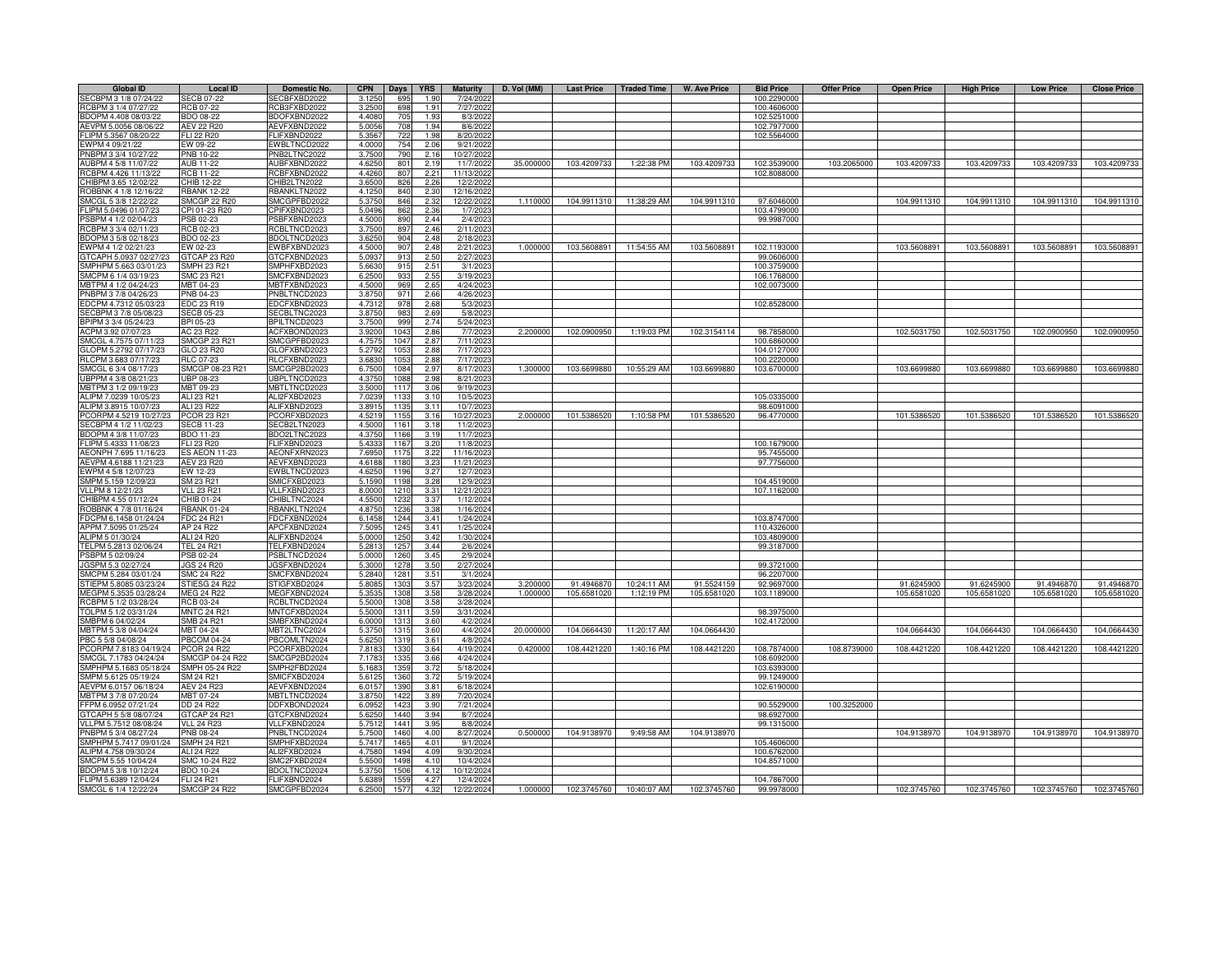| RCB3FXBD2022<br>3.2500<br>698<br>RCBPM 3 1/4 07/27/22<br><b>RCB 07-22</b><br>1.91<br>7/27/2022<br>100.4606000<br>4.4080<br>705<br>BDOPM 4.408 08/03/22<br><b>BDO 08-22</b><br>BDOFXBND2022<br>1.93<br>8/3/2022<br>102.5251000<br><b>AEV 22 R20</b><br>AEVFXBND2022<br>5.005<br>708<br>8/6/2022<br>AEVPM 5.0056 08/06/22<br>194<br>102.7977000<br>FLIPM 5.3567 08/20/22<br><b>FLI 22 R20</b><br>FLIFXBND2022<br>5.356<br>722<br>8/20/2022<br>102.5564000<br>1.98<br>4.0000<br>EWPM 4 09/21/22<br>EW 09-22<br>EWBLTNCD2022<br>754<br>2.06<br>9/21/2022<br>3.7500<br>PNBPM 3 3/4 10/27/22<br><b>PNB 10-22</b><br>PNB2LTNC2022<br>790<br>2.16<br>10/27/2022<br><b>AUB 11-22</b><br>AUBFXBND2022<br>4.6250<br>11/7/2022<br>35.000000<br>103.4209733<br>1:22:38 PM<br>103.4209733<br>103.2065000<br>103.4209733<br>103.4209733<br>AUBPM 4 5/8 11/07/22<br>801<br>2.19<br>102.3539000<br>103.4209733<br>RCBPM 4.426 11/13/22<br><b>RCB 11-22</b><br>RCBFXBND2022<br>4.4260<br>807<br>11/13/2022<br>102.8088000<br>2.21<br>CHIBPM 3.65 12/02/22<br>CHIB 12-22<br>CHIB2LTN2022<br>3.6500<br>826<br>12/2/2022<br>2.26<br>RBANKLTN2022<br>4.125<br>ROBBNK 4 1/8 12/16/22<br>RBANK 12-22<br>840<br>2.3C<br>12/16/202<br>1.110000<br><b>SMCGP 22 R20</b><br>SMCGPFBD2022<br>12/22/2022<br>104.9911310 11:38:29 AM<br>104.9911310<br>97.6046000<br>104.9911310<br>104.9911310<br>104.9911310<br>SMCGL 5 3/8 12/22/22<br>5.375<br>846<br>2.32<br>CPI 01-23 R20<br>5.0496<br>1/7/2023<br>103.4799000<br>FLIPM 5.0496 01/07/23<br>CPIFXBND2023<br>862<br>2.36<br>4.5000<br>2/4/2023<br>99.9987000<br>PSB 02-23<br>PSBFXBND2023<br>890<br>2.44<br>PSBPM 4 1/2 02/04/23<br>RCBPM 3 3/4 02/11/23<br>RCB 02-23<br>RCBLTNCD2023<br>3.7500<br>897<br>2.46<br>2/11/2023<br>BDOPM 3 5/8 02/18/23<br>BDO 02-23<br>BDOLTNCD2023<br>3.625<br>904<br>2.48<br>2/18/2023<br>WPM 4 1/2 02/21/23<br>EW 02-23<br>EWBFXBND2023<br>4.500<br>907<br>2.48<br>2/21/2023<br>1.00000<br>103.5608891<br>11:54:55 AM<br>103.5608891<br>102.1193000<br>103.5608891<br>103.5608891<br>103.5608891<br>GTCAP 23 R20<br>GTCAPH 5.0937 02/27/23<br>GTCFXBND2023<br>5.093<br>913<br>2.50<br>2/27/2023<br>99.0606000<br>SMPHPM 5.663 03/01/23<br>SMPH 23 R21<br>SMPHFXBD2023<br>5.663<br>2.51<br>3/1/2023<br>100.3759000<br>915<br>SMCPM 6 1/4 03/19/23<br>SMC 23 R21<br>SMCFXBND2023<br>6.250<br>933<br>2.55<br>3/19/2023<br>106.1768000<br>MBTPM 4 1/2 04/24/23<br>MBT 04-23<br>MBTFXBND2023<br>4.500<br>969<br>2.65<br>4/24/2023<br>102.0073000<br>PNBPM 3 7/8 04/26/23<br>PNB 04-23<br>PNBLTNCD2023<br>3.875<br>971<br>2.66<br>4/26/2023<br>2.68<br>EDCPM 4.7312 05/03/23<br>EDC 23 R19<br>EDCFXBND2023<br>4.731<br>978<br>5/3/2023<br>102.8528000<br>SECBLTNC2023<br>983<br>2.69<br>SECBPM 3 7/8 05/08/23<br><b>SECB 05-23</b><br>3.8750<br>5/8/2023<br>BPIPM 3 3/4 05/24/23<br>BPI 05-23<br>999<br>2.74<br>BPILTNCD2023<br>3.7500<br>5/24/2023<br>AC 23 R22<br>2.86<br>7/7/2023<br>ACPM 3.92 07/07/23<br>ACFXBOND2023<br>3.9200<br>1043<br>2.200000<br>102.0900950<br>1:19:03 PM<br>102.3154114<br>98.7858000<br>102.5031750<br>102.5031750<br>102.0900950<br>SMCGPFBD2023<br>4.757<br>2.87<br>SMCGL 4.7575 07/11/23<br><b>SMCGP 23 R21</b><br>1047<br>7/11/2023<br>100.6860000<br>GLOPM 5.2792 07/17/23<br>GLO 23 R20<br>GLOFXBND2023<br>5.279<br>2.88<br>7/17/2023<br>104.0127000<br>105<br>RLCFXBND2023<br>RLCPM 3.683 07/17/23<br>RLC 07-23<br>3.683<br>1053<br>2.88<br>7/17/2023<br>100.2220000<br>SMCGP 08-23 R21<br>SMCGP2BD2023<br>8/17/2023<br>1.300000<br>103.6699880<br>10:55:29 AM<br>103.6699880<br>103.6699880<br>SMCGL 6 3/4 08/17/23<br>6.750<br>1084<br>2.97<br>103.6700000<br>103.6699880<br>103.6699880<br>UBPPM 4 3/8 08/21/23<br>UBPLTNCD2023<br>UBP 08-23<br>4.375<br>1088<br>2.98<br>8/21/2023<br>MBTPM 3 1/2 09/19/23<br>MBT 09-23<br>MBTLTNCD2023<br>3.500<br>9/19/2023<br>111<br>3.06<br>ALIPM 7.0239 10/05/23<br>ALI 23 R21<br>ALI2FXBD2023<br>7.023<br>10/5/202<br>105.0335000<br>113<br>3.10<br>ALI 23 R22<br>ALIPM 3.8915 10/07/23<br>ALIFXBND2023<br>3.891<br>3.11<br>10/7/202<br>98.6091000<br>113<br>PCOR 23 R21<br>2.00000<br>101.5386520<br>CORPM 4.5219 10/27/23<br>PCORFXBD2023<br>4.521<br>10/27/2023<br>101.5386520<br>1:10:58 PM<br>101.5386520<br>96.4770000<br>101.5386520<br>101.5386520<br>115<br>3.16<br>4.5000<br>11/2/2023<br>SECBPM 4 1/2 11/02/23<br><b>SECB 11-23</b><br>SECB2LTN2023<br>3.18<br>116<br>BDO2LTNC2023<br>3.19<br>11/7/2023<br>BDOPM 4 3/8 11/07/23<br><b>BDO 11-23</b><br>4.3750<br>1166<br>FLI 23 R20<br>FLIFXBND2023<br>5.433<br>FLIPM 5.4333 11/08/23<br>1167<br>3.20<br>11/8/2023<br>100.1679000<br>AEONPH 7.695 11/16/23<br><b>ES AEON 11-23</b><br>AEONFXRN2023<br>7.695<br>3.22<br>11/16/2023<br>95.7455000<br>117<br>97.7756000<br>AEVPM 4.6188 11/21/23<br><b>AEV 23 R20</b><br>AEVFXBND2023<br>4.618<br>118<br>3.23<br>11/21/2023<br>EWBLTNCD2023<br>EWPM 4 5/8 12/07/23<br>EW 12-23<br>4.625<br>1196<br>3.27<br>12/7/2023<br>SMPM 5.159 12/09/23<br>SM 23 R21<br>SMICFXBD2023<br>5.159<br>1198<br>3.28<br>12/9/2023<br>104.4519000<br>VLLPM 8 12/21/23<br><b>VLL 23 R21</b><br>VLLFXBND2023<br>8.000<br>3.31<br>107.1162000<br>121<br>12/21/2023<br>HIBPM 4.55 01/12/24<br>CHIB 01-24<br>CHIBLTNC2024<br>4.550<br>1232<br>3.37<br>1/12/2024<br>OBBNK 4 7/8 01/16/24<br><b>RBANK 01-24</b><br>RBANKLTN2024<br>4.875<br>1236<br>3.38<br>1/16/2024<br>FDCPM 6.1458 01/24/24<br>FDC 24 R21<br>FDCFXBND2024<br>6.1458<br>103.8747000<br>1244<br>3.41<br>1/24/2024<br>APCFXBND2024<br>7.5095<br>APPM 7.5095 01/25/24<br>AP 24 R22<br>1245<br>1/25/2024<br>110.4326000<br>3.41<br>ALIFXBND2024<br>5.0000<br>ALIPM 5 01/30/24<br>ALI 24 R20<br>1250<br>3.42<br>1/30/2024<br>103.4809000<br>TELFXBND2024<br>5.281<br>TELPM 5.2813 02/06/24<br><b>TEL 24 R21</b><br>1257<br>3.44<br>2/6/2024<br>99.3187000<br>PSBPM 5 02/09/24<br>PSBLTNCD2024<br>5.000<br>1260<br>3.45<br>2/9/2024<br>PSB 02-24<br>JGSPM 5.3 02/27/24<br><b>JGS 24 R20</b><br>JGSFXBND2024<br>5.300<br>1278<br>3.50<br>2/27/2024<br>99.3721000<br><b>SMC 24 R22</b><br>SMCFXBND2024<br>5.2840<br>SMCPM 5.284 03/01/24<br>1281<br>3.51<br>3/1/2024<br>96.2207000<br>STIESG 24 R22<br>STIGFXBD2024<br>5.808<br>3/23/2024<br>3.200000<br>91.4946870<br>10:24:11 AM<br>91.5524159<br>91.6245900<br>91.4946870<br>STIEPM 5.8085 03/23/24<br>1303<br>3.57<br>92.9697000<br>91.6245900<br>MEGPM 5.3535 03/28/24<br><b>MEG 24 R22</b><br>MEGFXBND2024<br>5.353<br>3/28/2024<br>1.000000<br>105.6581020<br>1:12:19 PM<br>105.6581020<br>103.1189000<br>105.6581020<br>105.6581020<br>105.6581020<br>1308<br>3.58<br>RCBPM 5 1/2 03/28/24<br><b>RCB 03-24</b><br>RCBLTNCD2024<br>5.5000<br>3/28/2024<br>1308<br>3.58<br>TOLPM 5 1/2 03/31/24<br><b>MNTC 24 R21</b><br>MNTCFXBD2024<br>5.500<br>3/31/2024<br>98.3975000<br>1311<br>3.59<br>SMB 24 R21<br>SMBFXBND2024<br>6.000<br>4/2/2024<br>102.4172000<br>SMBPM 6 04/02/24<br>1313<br>3.60<br>MBT 04-24<br>4/4/2024<br>20,00000<br>104.0664430<br>104.0664430<br>104.0664430<br>104.0664430<br>104.0664430<br>MBTPM 5 3/8 04/04/24<br>MBT2LTNC2024<br>5.3750<br>11:20:17 AM<br>1315<br>3.60<br><b>PBCOM 04-24</b><br>4/8/2024<br>PBC 5 5/8 04/08/24<br>PBCOMLTN2024<br>5.625<br>1319<br>3.61<br><b>PCOR 24 R22</b><br>PCORFXBD2024<br>7.818<br>1330<br>3.64<br>4/19/2024<br>0.420000<br>108.8739000<br>PCORPM 7.8183 04/19/24<br>108.4421220<br>1:40:16 PM<br>108.4421220<br>108.7874000<br>108.4421220<br>108.4421220<br>108.4421220<br>MCGL 7.1783 04/24/24<br>SMCGP 04-24 R22<br>SMCGP2BD2024<br>7.178<br>1335<br>3.66<br>4/24/2024<br>108.6092000<br>SMPHPM 5.1683 05/18/24<br>SMPH 05-24 R22<br>SMPH2FBD2024<br>5.168<br>135<br>3.72<br>5/18/2024<br>103.6393000<br>SMICFXBD2024<br>5.612<br>5/19/2024<br>99.1249000<br>SMPM 5.6125 05/19/24<br>SM 24 R21<br>1360<br>3.72<br>AEVFXBND2024<br>102.6190000<br>AEVPM 6.0157 06/18/24<br><b>AEV 24 R23</b><br>6.015<br>1390<br>3.81<br>6/18/2024<br>MBTPM 3 7/8 07/20/24<br>MBT 07-24<br>MBTLTNCD2024<br>3.875<br>142<br>3.89<br>7/20/2024<br>FFPM 6.0952 07/21/24<br>DD 24 R22<br>DDFXBOND2024<br>6.095<br>1423<br>3.90<br>7/21/2024<br>90.5529000<br>100.3252000 | <b>Global ID</b>      | <b>Local ID</b>   | Domestic No. | <b>CPN</b> | Days | <b>YRS</b> | <b>Maturity</b> | D. Vol (MM) | <b>Last Price</b> | Traded Time | <b>W. Ave Price</b> | <b>Bid Price</b> | <b>Offer Price</b> | <b>Open Price</b> | <b>High Price</b> | <b>Low Price</b> | <b>Close Price</b> |
|---------------------------------------------------------------------------------------------------------------------------------------------------------------------------------------------------------------------------------------------------------------------------------------------------------------------------------------------------------------------------------------------------------------------------------------------------------------------------------------------------------------------------------------------------------------------------------------------------------------------------------------------------------------------------------------------------------------------------------------------------------------------------------------------------------------------------------------------------------------------------------------------------------------------------------------------------------------------------------------------------------------------------------------------------------------------------------------------------------------------------------------------------------------------------------------------------------------------------------------------------------------------------------------------------------------------------------------------------------------------------------------------------------------------------------------------------------------------------------------------------------------------------------------------------------------------------------------------------------------------------------------------------------------------------------------------------------------------------------------------------------------------------------------------------------------------------------------------------------------------------------------------------------------------------------------------------------------------------------------------------------------------------------------------------------------------------------------------------------------------------------------------------------------------------------------------------------------------------------------------------------------------------------------------------------------------------------------------------------------------------------------------------------------------------------------------------------------------------------------------------------------------------------------------------------------------------------------------------------------------------------------------------------------------------------------------------------------------------------------------------------------------------------------------------------------------------------------------------------------------------------------------------------------------------------------------------------------------------------------------------------------------------------------------------------------------------------------------------------------------------------------------------------------------------------------------------------------------------------------------------------------------------------------------------------------------------------------------------------------------------------------------------------------------------------------------------------------------------------------------------------------------------------------------------------------------------------------------------------------------------------------------------------------------------------------------------------------------------------------------------------------------------------------------------------------------------------------------------------------------------------------------------------------------------------------------------------------------------------------------------------------------------------------------------------------------------------------------------------------------------------------------------------------------------------------------------------------------------------------------------------------------------------------------------------------------------------------------------------------------------------------------------------------------------------------------------------------------------------------------------------------------------------------------------------------------------------------------------------------------------------------------------------------------------------------------------------------------------------------------------------------------------------------------------------------------------------------------------------------------------------------------------------------------------------------------------------------------------------------------------------------------------------------------------------------------------------------------------------------------------------------------------------------------------------------------------------------------------------------------------------------------------------------------------------------------------------------------------------------------------------------------------------------------------------------------------------------------------------------------------------------------------------------------------------------------------------------------------------------------------------------------------------------------------------------------------------------------------------------------------------------------------------------------------------------------------------------------------------------------------------------------------------------------------------------------------------------------------------------------------------------------------------------------------------------------------------------------------------------------------------------------------------------------------------------------------------------------------------------------------------------------------------------------------------------------------------------------------------------------------------------------------------------------------------------------------------------------------------------------------------------------------------------------------------------------------------------------------------------------------------------------------------------------------------------------------------------------------------------------------------------------------------------------------------------------------------------------------------------------------------------------------------------------------------------------------------------------------------------------------------------------------------------------------------------------------------------------------------------------------------------------------------------------------------------------------------------------------------------------------------------------------------------------------------------------------------------------------------------------------------------------------------------------------------------------------------------------------------------------------------------------------------------------------------------------------------------------------------------------------------------------------------------------------------------------------------------------------------------------------------------------------------------------------------------------------------------------------------------------------------------------------------------------------------------------------------------------------------------------------------------------------------------------------------------------------------------------------------------------------------------------------|-----------------------|-------------------|--------------|------------|------|------------|-----------------|-------------|-------------------|-------------|---------------------|------------------|--------------------|-------------------|-------------------|------------------|--------------------|
|                                                                                                                                                                                                                                                                                                                                                                                                                                                                                                                                                                                                                                                                                                                                                                                                                                                                                                                                                                                                                                                                                                                                                                                                                                                                                                                                                                                                                                                                                                                                                                                                                                                                                                                                                                                                                                                                                                                                                                                                                                                                                                                                                                                                                                                                                                                                                                                                                                                                                                                                                                                                                                                                                                                                                                                                                                                                                                                                                                                                                                                                                                                                                                                                                                                                                                                                                                                                                                                                                                                                                                                                                                                                                                                                                                                                                                                                                                                                                                                                                                                                                                                                                                                                                                                                                                                                                                                                                                                                                                                                                                                                                                                                                                                                                                                                                                                                                                                                                                                                                                                                                                                                                                                                                                                                                                                                                                                                                                                                                                                                                                                                                                                                                                                                                                                                                                                                                                                                                                                                                                                                                                                                                                                                                                                                                                                                                                                                                                                                                                                                                                                                                                                                                                                                                                                                                                                                                                                                                                                                                                                                                                                                                                                                                                                                                                                                                                                                                                                                                                                                                                                                                                                                                                                                                                                                                                                                                                                                                                                                                                                                                                                                                   | SECBPM 3 1/8 07/24/22 | <b>SECB 07-22</b> | SECBFXBD2022 | 3.1250     | 695  | 1.90       | 7/24/2022       |             |                   |             |                     | 100.2290000      |                    |                   |                   |                  |                    |
|                                                                                                                                                                                                                                                                                                                                                                                                                                                                                                                                                                                                                                                                                                                                                                                                                                                                                                                                                                                                                                                                                                                                                                                                                                                                                                                                                                                                                                                                                                                                                                                                                                                                                                                                                                                                                                                                                                                                                                                                                                                                                                                                                                                                                                                                                                                                                                                                                                                                                                                                                                                                                                                                                                                                                                                                                                                                                                                                                                                                                                                                                                                                                                                                                                                                                                                                                                                                                                                                                                                                                                                                                                                                                                                                                                                                                                                                                                                                                                                                                                                                                                                                                                                                                                                                                                                                                                                                                                                                                                                                                                                                                                                                                                                                                                                                                                                                                                                                                                                                                                                                                                                                                                                                                                                                                                                                                                                                                                                                                                                                                                                                                                                                                                                                                                                                                                                                                                                                                                                                                                                                                                                                                                                                                                                                                                                                                                                                                                                                                                                                                                                                                                                                                                                                                                                                                                                                                                                                                                                                                                                                                                                                                                                                                                                                                                                                                                                                                                                                                                                                                                                                                                                                                                                                                                                                                                                                                                                                                                                                                                                                                                                                                   |                       |                   |              |            |      |            |                 |             |                   |             |                     |                  |                    |                   |                   |                  |                    |
|                                                                                                                                                                                                                                                                                                                                                                                                                                                                                                                                                                                                                                                                                                                                                                                                                                                                                                                                                                                                                                                                                                                                                                                                                                                                                                                                                                                                                                                                                                                                                                                                                                                                                                                                                                                                                                                                                                                                                                                                                                                                                                                                                                                                                                                                                                                                                                                                                                                                                                                                                                                                                                                                                                                                                                                                                                                                                                                                                                                                                                                                                                                                                                                                                                                                                                                                                                                                                                                                                                                                                                                                                                                                                                                                                                                                                                                                                                                                                                                                                                                                                                                                                                                                                                                                                                                                                                                                                                                                                                                                                                                                                                                                                                                                                                                                                                                                                                                                                                                                                                                                                                                                                                                                                                                                                                                                                                                                                                                                                                                                                                                                                                                                                                                                                                                                                                                                                                                                                                                                                                                                                                                                                                                                                                                                                                                                                                                                                                                                                                                                                                                                                                                                                                                                                                                                                                                                                                                                                                                                                                                                                                                                                                                                                                                                                                                                                                                                                                                                                                                                                                                                                                                                                                                                                                                                                                                                                                                                                                                                                                                                                                                                                   |                       |                   |              |            |      |            |                 |             |                   |             |                     |                  |                    |                   |                   |                  |                    |
|                                                                                                                                                                                                                                                                                                                                                                                                                                                                                                                                                                                                                                                                                                                                                                                                                                                                                                                                                                                                                                                                                                                                                                                                                                                                                                                                                                                                                                                                                                                                                                                                                                                                                                                                                                                                                                                                                                                                                                                                                                                                                                                                                                                                                                                                                                                                                                                                                                                                                                                                                                                                                                                                                                                                                                                                                                                                                                                                                                                                                                                                                                                                                                                                                                                                                                                                                                                                                                                                                                                                                                                                                                                                                                                                                                                                                                                                                                                                                                                                                                                                                                                                                                                                                                                                                                                                                                                                                                                                                                                                                                                                                                                                                                                                                                                                                                                                                                                                                                                                                                                                                                                                                                                                                                                                                                                                                                                                                                                                                                                                                                                                                                                                                                                                                                                                                                                                                                                                                                                                                                                                                                                                                                                                                                                                                                                                                                                                                                                                                                                                                                                                                                                                                                                                                                                                                                                                                                                                                                                                                                                                                                                                                                                                                                                                                                                                                                                                                                                                                                                                                                                                                                                                                                                                                                                                                                                                                                                                                                                                                                                                                                                                                   |                       |                   |              |            |      |            |                 |             |                   |             |                     |                  |                    |                   |                   |                  |                    |
|                                                                                                                                                                                                                                                                                                                                                                                                                                                                                                                                                                                                                                                                                                                                                                                                                                                                                                                                                                                                                                                                                                                                                                                                                                                                                                                                                                                                                                                                                                                                                                                                                                                                                                                                                                                                                                                                                                                                                                                                                                                                                                                                                                                                                                                                                                                                                                                                                                                                                                                                                                                                                                                                                                                                                                                                                                                                                                                                                                                                                                                                                                                                                                                                                                                                                                                                                                                                                                                                                                                                                                                                                                                                                                                                                                                                                                                                                                                                                                                                                                                                                                                                                                                                                                                                                                                                                                                                                                                                                                                                                                                                                                                                                                                                                                                                                                                                                                                                                                                                                                                                                                                                                                                                                                                                                                                                                                                                                                                                                                                                                                                                                                                                                                                                                                                                                                                                                                                                                                                                                                                                                                                                                                                                                                                                                                                                                                                                                                                                                                                                                                                                                                                                                                                                                                                                                                                                                                                                                                                                                                                                                                                                                                                                                                                                                                                                                                                                                                                                                                                                                                                                                                                                                                                                                                                                                                                                                                                                                                                                                                                                                                                                                   |                       |                   |              |            |      |            |                 |             |                   |             |                     |                  |                    |                   |                   |                  |                    |
|                                                                                                                                                                                                                                                                                                                                                                                                                                                                                                                                                                                                                                                                                                                                                                                                                                                                                                                                                                                                                                                                                                                                                                                                                                                                                                                                                                                                                                                                                                                                                                                                                                                                                                                                                                                                                                                                                                                                                                                                                                                                                                                                                                                                                                                                                                                                                                                                                                                                                                                                                                                                                                                                                                                                                                                                                                                                                                                                                                                                                                                                                                                                                                                                                                                                                                                                                                                                                                                                                                                                                                                                                                                                                                                                                                                                                                                                                                                                                                                                                                                                                                                                                                                                                                                                                                                                                                                                                                                                                                                                                                                                                                                                                                                                                                                                                                                                                                                                                                                                                                                                                                                                                                                                                                                                                                                                                                                                                                                                                                                                                                                                                                                                                                                                                                                                                                                                                                                                                                                                                                                                                                                                                                                                                                                                                                                                                                                                                                                                                                                                                                                                                                                                                                                                                                                                                                                                                                                                                                                                                                                                                                                                                                                                                                                                                                                                                                                                                                                                                                                                                                                                                                                                                                                                                                                                                                                                                                                                                                                                                                                                                                                                                   |                       |                   |              |            |      |            |                 |             |                   |             |                     |                  |                    |                   |                   |                  |                    |
|                                                                                                                                                                                                                                                                                                                                                                                                                                                                                                                                                                                                                                                                                                                                                                                                                                                                                                                                                                                                                                                                                                                                                                                                                                                                                                                                                                                                                                                                                                                                                                                                                                                                                                                                                                                                                                                                                                                                                                                                                                                                                                                                                                                                                                                                                                                                                                                                                                                                                                                                                                                                                                                                                                                                                                                                                                                                                                                                                                                                                                                                                                                                                                                                                                                                                                                                                                                                                                                                                                                                                                                                                                                                                                                                                                                                                                                                                                                                                                                                                                                                                                                                                                                                                                                                                                                                                                                                                                                                                                                                                                                                                                                                                                                                                                                                                                                                                                                                                                                                                                                                                                                                                                                                                                                                                                                                                                                                                                                                                                                                                                                                                                                                                                                                                                                                                                                                                                                                                                                                                                                                                                                                                                                                                                                                                                                                                                                                                                                                                                                                                                                                                                                                                                                                                                                                                                                                                                                                                                                                                                                                                                                                                                                                                                                                                                                                                                                                                                                                                                                                                                                                                                                                                                                                                                                                                                                                                                                                                                                                                                                                                                                                                   |                       |                   |              |            |      |            |                 |             |                   |             |                     |                  |                    |                   |                   |                  | 103.4209733        |
|                                                                                                                                                                                                                                                                                                                                                                                                                                                                                                                                                                                                                                                                                                                                                                                                                                                                                                                                                                                                                                                                                                                                                                                                                                                                                                                                                                                                                                                                                                                                                                                                                                                                                                                                                                                                                                                                                                                                                                                                                                                                                                                                                                                                                                                                                                                                                                                                                                                                                                                                                                                                                                                                                                                                                                                                                                                                                                                                                                                                                                                                                                                                                                                                                                                                                                                                                                                                                                                                                                                                                                                                                                                                                                                                                                                                                                                                                                                                                                                                                                                                                                                                                                                                                                                                                                                                                                                                                                                                                                                                                                                                                                                                                                                                                                                                                                                                                                                                                                                                                                                                                                                                                                                                                                                                                                                                                                                                                                                                                                                                                                                                                                                                                                                                                                                                                                                                                                                                                                                                                                                                                                                                                                                                                                                                                                                                                                                                                                                                                                                                                                                                                                                                                                                                                                                                                                                                                                                                                                                                                                                                                                                                                                                                                                                                                                                                                                                                                                                                                                                                                                                                                                                                                                                                                                                                                                                                                                                                                                                                                                                                                                                                                   |                       |                   |              |            |      |            |                 |             |                   |             |                     |                  |                    |                   |                   |                  |                    |
|                                                                                                                                                                                                                                                                                                                                                                                                                                                                                                                                                                                                                                                                                                                                                                                                                                                                                                                                                                                                                                                                                                                                                                                                                                                                                                                                                                                                                                                                                                                                                                                                                                                                                                                                                                                                                                                                                                                                                                                                                                                                                                                                                                                                                                                                                                                                                                                                                                                                                                                                                                                                                                                                                                                                                                                                                                                                                                                                                                                                                                                                                                                                                                                                                                                                                                                                                                                                                                                                                                                                                                                                                                                                                                                                                                                                                                                                                                                                                                                                                                                                                                                                                                                                                                                                                                                                                                                                                                                                                                                                                                                                                                                                                                                                                                                                                                                                                                                                                                                                                                                                                                                                                                                                                                                                                                                                                                                                                                                                                                                                                                                                                                                                                                                                                                                                                                                                                                                                                                                                                                                                                                                                                                                                                                                                                                                                                                                                                                                                                                                                                                                                                                                                                                                                                                                                                                                                                                                                                                                                                                                                                                                                                                                                                                                                                                                                                                                                                                                                                                                                                                                                                                                                                                                                                                                                                                                                                                                                                                                                                                                                                                                                                   |                       |                   |              |            |      |            |                 |             |                   |             |                     |                  |                    |                   |                   |                  |                    |
|                                                                                                                                                                                                                                                                                                                                                                                                                                                                                                                                                                                                                                                                                                                                                                                                                                                                                                                                                                                                                                                                                                                                                                                                                                                                                                                                                                                                                                                                                                                                                                                                                                                                                                                                                                                                                                                                                                                                                                                                                                                                                                                                                                                                                                                                                                                                                                                                                                                                                                                                                                                                                                                                                                                                                                                                                                                                                                                                                                                                                                                                                                                                                                                                                                                                                                                                                                                                                                                                                                                                                                                                                                                                                                                                                                                                                                                                                                                                                                                                                                                                                                                                                                                                                                                                                                                                                                                                                                                                                                                                                                                                                                                                                                                                                                                                                                                                                                                                                                                                                                                                                                                                                                                                                                                                                                                                                                                                                                                                                                                                                                                                                                                                                                                                                                                                                                                                                                                                                                                                                                                                                                                                                                                                                                                                                                                                                                                                                                                                                                                                                                                                                                                                                                                                                                                                                                                                                                                                                                                                                                                                                                                                                                                                                                                                                                                                                                                                                                                                                                                                                                                                                                                                                                                                                                                                                                                                                                                                                                                                                                                                                                                                                   |                       |                   |              |            |      |            |                 |             |                   |             |                     |                  |                    |                   |                   |                  |                    |
|                                                                                                                                                                                                                                                                                                                                                                                                                                                                                                                                                                                                                                                                                                                                                                                                                                                                                                                                                                                                                                                                                                                                                                                                                                                                                                                                                                                                                                                                                                                                                                                                                                                                                                                                                                                                                                                                                                                                                                                                                                                                                                                                                                                                                                                                                                                                                                                                                                                                                                                                                                                                                                                                                                                                                                                                                                                                                                                                                                                                                                                                                                                                                                                                                                                                                                                                                                                                                                                                                                                                                                                                                                                                                                                                                                                                                                                                                                                                                                                                                                                                                                                                                                                                                                                                                                                                                                                                                                                                                                                                                                                                                                                                                                                                                                                                                                                                                                                                                                                                                                                                                                                                                                                                                                                                                                                                                                                                                                                                                                                                                                                                                                                                                                                                                                                                                                                                                                                                                                                                                                                                                                                                                                                                                                                                                                                                                                                                                                                                                                                                                                                                                                                                                                                                                                                                                                                                                                                                                                                                                                                                                                                                                                                                                                                                                                                                                                                                                                                                                                                                                                                                                                                                                                                                                                                                                                                                                                                                                                                                                                                                                                                                                   |                       |                   |              |            |      |            |                 |             |                   |             |                     |                  |                    |                   |                   |                  | 104.9911310        |
|                                                                                                                                                                                                                                                                                                                                                                                                                                                                                                                                                                                                                                                                                                                                                                                                                                                                                                                                                                                                                                                                                                                                                                                                                                                                                                                                                                                                                                                                                                                                                                                                                                                                                                                                                                                                                                                                                                                                                                                                                                                                                                                                                                                                                                                                                                                                                                                                                                                                                                                                                                                                                                                                                                                                                                                                                                                                                                                                                                                                                                                                                                                                                                                                                                                                                                                                                                                                                                                                                                                                                                                                                                                                                                                                                                                                                                                                                                                                                                                                                                                                                                                                                                                                                                                                                                                                                                                                                                                                                                                                                                                                                                                                                                                                                                                                                                                                                                                                                                                                                                                                                                                                                                                                                                                                                                                                                                                                                                                                                                                                                                                                                                                                                                                                                                                                                                                                                                                                                                                                                                                                                                                                                                                                                                                                                                                                                                                                                                                                                                                                                                                                                                                                                                                                                                                                                                                                                                                                                                                                                                                                                                                                                                                                                                                                                                                                                                                                                                                                                                                                                                                                                                                                                                                                                                                                                                                                                                                                                                                                                                                                                                                                                   |                       |                   |              |            |      |            |                 |             |                   |             |                     |                  |                    |                   |                   |                  |                    |
|                                                                                                                                                                                                                                                                                                                                                                                                                                                                                                                                                                                                                                                                                                                                                                                                                                                                                                                                                                                                                                                                                                                                                                                                                                                                                                                                                                                                                                                                                                                                                                                                                                                                                                                                                                                                                                                                                                                                                                                                                                                                                                                                                                                                                                                                                                                                                                                                                                                                                                                                                                                                                                                                                                                                                                                                                                                                                                                                                                                                                                                                                                                                                                                                                                                                                                                                                                                                                                                                                                                                                                                                                                                                                                                                                                                                                                                                                                                                                                                                                                                                                                                                                                                                                                                                                                                                                                                                                                                                                                                                                                                                                                                                                                                                                                                                                                                                                                                                                                                                                                                                                                                                                                                                                                                                                                                                                                                                                                                                                                                                                                                                                                                                                                                                                                                                                                                                                                                                                                                                                                                                                                                                                                                                                                                                                                                                                                                                                                                                                                                                                                                                                                                                                                                                                                                                                                                                                                                                                                                                                                                                                                                                                                                                                                                                                                                                                                                                                                                                                                                                                                                                                                                                                                                                                                                                                                                                                                                                                                                                                                                                                                                                                   |                       |                   |              |            |      |            |                 |             |                   |             |                     |                  |                    |                   |                   |                  |                    |
|                                                                                                                                                                                                                                                                                                                                                                                                                                                                                                                                                                                                                                                                                                                                                                                                                                                                                                                                                                                                                                                                                                                                                                                                                                                                                                                                                                                                                                                                                                                                                                                                                                                                                                                                                                                                                                                                                                                                                                                                                                                                                                                                                                                                                                                                                                                                                                                                                                                                                                                                                                                                                                                                                                                                                                                                                                                                                                                                                                                                                                                                                                                                                                                                                                                                                                                                                                                                                                                                                                                                                                                                                                                                                                                                                                                                                                                                                                                                                                                                                                                                                                                                                                                                                                                                                                                                                                                                                                                                                                                                                                                                                                                                                                                                                                                                                                                                                                                                                                                                                                                                                                                                                                                                                                                                                                                                                                                                                                                                                                                                                                                                                                                                                                                                                                                                                                                                                                                                                                                                                                                                                                                                                                                                                                                                                                                                                                                                                                                                                                                                                                                                                                                                                                                                                                                                                                                                                                                                                                                                                                                                                                                                                                                                                                                                                                                                                                                                                                                                                                                                                                                                                                                                                                                                                                                                                                                                                                                                                                                                                                                                                                                                                   |                       |                   |              |            |      |            |                 |             |                   |             |                     |                  |                    |                   |                   |                  |                    |
|                                                                                                                                                                                                                                                                                                                                                                                                                                                                                                                                                                                                                                                                                                                                                                                                                                                                                                                                                                                                                                                                                                                                                                                                                                                                                                                                                                                                                                                                                                                                                                                                                                                                                                                                                                                                                                                                                                                                                                                                                                                                                                                                                                                                                                                                                                                                                                                                                                                                                                                                                                                                                                                                                                                                                                                                                                                                                                                                                                                                                                                                                                                                                                                                                                                                                                                                                                                                                                                                                                                                                                                                                                                                                                                                                                                                                                                                                                                                                                                                                                                                                                                                                                                                                                                                                                                                                                                                                                                                                                                                                                                                                                                                                                                                                                                                                                                                                                                                                                                                                                                                                                                                                                                                                                                                                                                                                                                                                                                                                                                                                                                                                                                                                                                                                                                                                                                                                                                                                                                                                                                                                                                                                                                                                                                                                                                                                                                                                                                                                                                                                                                                                                                                                                                                                                                                                                                                                                                                                                                                                                                                                                                                                                                                                                                                                                                                                                                                                                                                                                                                                                                                                                                                                                                                                                                                                                                                                                                                                                                                                                                                                                                                                   |                       |                   |              |            |      |            |                 |             |                   |             |                     |                  |                    |                   |                   |                  | 103.560889         |
|                                                                                                                                                                                                                                                                                                                                                                                                                                                                                                                                                                                                                                                                                                                                                                                                                                                                                                                                                                                                                                                                                                                                                                                                                                                                                                                                                                                                                                                                                                                                                                                                                                                                                                                                                                                                                                                                                                                                                                                                                                                                                                                                                                                                                                                                                                                                                                                                                                                                                                                                                                                                                                                                                                                                                                                                                                                                                                                                                                                                                                                                                                                                                                                                                                                                                                                                                                                                                                                                                                                                                                                                                                                                                                                                                                                                                                                                                                                                                                                                                                                                                                                                                                                                                                                                                                                                                                                                                                                                                                                                                                                                                                                                                                                                                                                                                                                                                                                                                                                                                                                                                                                                                                                                                                                                                                                                                                                                                                                                                                                                                                                                                                                                                                                                                                                                                                                                                                                                                                                                                                                                                                                                                                                                                                                                                                                                                                                                                                                                                                                                                                                                                                                                                                                                                                                                                                                                                                                                                                                                                                                                                                                                                                                                                                                                                                                                                                                                                                                                                                                                                                                                                                                                                                                                                                                                                                                                                                                                                                                                                                                                                                                                                   |                       |                   |              |            |      |            |                 |             |                   |             |                     |                  |                    |                   |                   |                  |                    |
|                                                                                                                                                                                                                                                                                                                                                                                                                                                                                                                                                                                                                                                                                                                                                                                                                                                                                                                                                                                                                                                                                                                                                                                                                                                                                                                                                                                                                                                                                                                                                                                                                                                                                                                                                                                                                                                                                                                                                                                                                                                                                                                                                                                                                                                                                                                                                                                                                                                                                                                                                                                                                                                                                                                                                                                                                                                                                                                                                                                                                                                                                                                                                                                                                                                                                                                                                                                                                                                                                                                                                                                                                                                                                                                                                                                                                                                                                                                                                                                                                                                                                                                                                                                                                                                                                                                                                                                                                                                                                                                                                                                                                                                                                                                                                                                                                                                                                                                                                                                                                                                                                                                                                                                                                                                                                                                                                                                                                                                                                                                                                                                                                                                                                                                                                                                                                                                                                                                                                                                                                                                                                                                                                                                                                                                                                                                                                                                                                                                                                                                                                                                                                                                                                                                                                                                                                                                                                                                                                                                                                                                                                                                                                                                                                                                                                                                                                                                                                                                                                                                                                                                                                                                                                                                                                                                                                                                                                                                                                                                                                                                                                                                                                   |                       |                   |              |            |      |            |                 |             |                   |             |                     |                  |                    |                   |                   |                  |                    |
|                                                                                                                                                                                                                                                                                                                                                                                                                                                                                                                                                                                                                                                                                                                                                                                                                                                                                                                                                                                                                                                                                                                                                                                                                                                                                                                                                                                                                                                                                                                                                                                                                                                                                                                                                                                                                                                                                                                                                                                                                                                                                                                                                                                                                                                                                                                                                                                                                                                                                                                                                                                                                                                                                                                                                                                                                                                                                                                                                                                                                                                                                                                                                                                                                                                                                                                                                                                                                                                                                                                                                                                                                                                                                                                                                                                                                                                                                                                                                                                                                                                                                                                                                                                                                                                                                                                                                                                                                                                                                                                                                                                                                                                                                                                                                                                                                                                                                                                                                                                                                                                                                                                                                                                                                                                                                                                                                                                                                                                                                                                                                                                                                                                                                                                                                                                                                                                                                                                                                                                                                                                                                                                                                                                                                                                                                                                                                                                                                                                                                                                                                                                                                                                                                                                                                                                                                                                                                                                                                                                                                                                                                                                                                                                                                                                                                                                                                                                                                                                                                                                                                                                                                                                                                                                                                                                                                                                                                                                                                                                                                                                                                                                                                   |                       |                   |              |            |      |            |                 |             |                   |             |                     |                  |                    |                   |                   |                  |                    |
|                                                                                                                                                                                                                                                                                                                                                                                                                                                                                                                                                                                                                                                                                                                                                                                                                                                                                                                                                                                                                                                                                                                                                                                                                                                                                                                                                                                                                                                                                                                                                                                                                                                                                                                                                                                                                                                                                                                                                                                                                                                                                                                                                                                                                                                                                                                                                                                                                                                                                                                                                                                                                                                                                                                                                                                                                                                                                                                                                                                                                                                                                                                                                                                                                                                                                                                                                                                                                                                                                                                                                                                                                                                                                                                                                                                                                                                                                                                                                                                                                                                                                                                                                                                                                                                                                                                                                                                                                                                                                                                                                                                                                                                                                                                                                                                                                                                                                                                                                                                                                                                                                                                                                                                                                                                                                                                                                                                                                                                                                                                                                                                                                                                                                                                                                                                                                                                                                                                                                                                                                                                                                                                                                                                                                                                                                                                                                                                                                                                                                                                                                                                                                                                                                                                                                                                                                                                                                                                                                                                                                                                                                                                                                                                                                                                                                                                                                                                                                                                                                                                                                                                                                                                                                                                                                                                                                                                                                                                                                                                                                                                                                                                                                   |                       |                   |              |            |      |            |                 |             |                   |             |                     |                  |                    |                   |                   |                  |                    |
|                                                                                                                                                                                                                                                                                                                                                                                                                                                                                                                                                                                                                                                                                                                                                                                                                                                                                                                                                                                                                                                                                                                                                                                                                                                                                                                                                                                                                                                                                                                                                                                                                                                                                                                                                                                                                                                                                                                                                                                                                                                                                                                                                                                                                                                                                                                                                                                                                                                                                                                                                                                                                                                                                                                                                                                                                                                                                                                                                                                                                                                                                                                                                                                                                                                                                                                                                                                                                                                                                                                                                                                                                                                                                                                                                                                                                                                                                                                                                                                                                                                                                                                                                                                                                                                                                                                                                                                                                                                                                                                                                                                                                                                                                                                                                                                                                                                                                                                                                                                                                                                                                                                                                                                                                                                                                                                                                                                                                                                                                                                                                                                                                                                                                                                                                                                                                                                                                                                                                                                                                                                                                                                                                                                                                                                                                                                                                                                                                                                                                                                                                                                                                                                                                                                                                                                                                                                                                                                                                                                                                                                                                                                                                                                                                                                                                                                                                                                                                                                                                                                                                                                                                                                                                                                                                                                                                                                                                                                                                                                                                                                                                                                                                   |                       |                   |              |            |      |            |                 |             |                   |             |                     |                  |                    |                   |                   |                  |                    |
|                                                                                                                                                                                                                                                                                                                                                                                                                                                                                                                                                                                                                                                                                                                                                                                                                                                                                                                                                                                                                                                                                                                                                                                                                                                                                                                                                                                                                                                                                                                                                                                                                                                                                                                                                                                                                                                                                                                                                                                                                                                                                                                                                                                                                                                                                                                                                                                                                                                                                                                                                                                                                                                                                                                                                                                                                                                                                                                                                                                                                                                                                                                                                                                                                                                                                                                                                                                                                                                                                                                                                                                                                                                                                                                                                                                                                                                                                                                                                                                                                                                                                                                                                                                                                                                                                                                                                                                                                                                                                                                                                                                                                                                                                                                                                                                                                                                                                                                                                                                                                                                                                                                                                                                                                                                                                                                                                                                                                                                                                                                                                                                                                                                                                                                                                                                                                                                                                                                                                                                                                                                                                                                                                                                                                                                                                                                                                                                                                                                                                                                                                                                                                                                                                                                                                                                                                                                                                                                                                                                                                                                                                                                                                                                                                                                                                                                                                                                                                                                                                                                                                                                                                                                                                                                                                                                                                                                                                                                                                                                                                                                                                                                                                   |                       |                   |              |            |      |            |                 |             |                   |             |                     |                  |                    |                   |                   |                  |                    |
|                                                                                                                                                                                                                                                                                                                                                                                                                                                                                                                                                                                                                                                                                                                                                                                                                                                                                                                                                                                                                                                                                                                                                                                                                                                                                                                                                                                                                                                                                                                                                                                                                                                                                                                                                                                                                                                                                                                                                                                                                                                                                                                                                                                                                                                                                                                                                                                                                                                                                                                                                                                                                                                                                                                                                                                                                                                                                                                                                                                                                                                                                                                                                                                                                                                                                                                                                                                                                                                                                                                                                                                                                                                                                                                                                                                                                                                                                                                                                                                                                                                                                                                                                                                                                                                                                                                                                                                                                                                                                                                                                                                                                                                                                                                                                                                                                                                                                                                                                                                                                                                                                                                                                                                                                                                                                                                                                                                                                                                                                                                                                                                                                                                                                                                                                                                                                                                                                                                                                                                                                                                                                                                                                                                                                                                                                                                                                                                                                                                                                                                                                                                                                                                                                                                                                                                                                                                                                                                                                                                                                                                                                                                                                                                                                                                                                                                                                                                                                                                                                                                                                                                                                                                                                                                                                                                                                                                                                                                                                                                                                                                                                                                                                   |                       |                   |              |            |      |            |                 |             |                   |             |                     |                  |                    |                   |                   |                  |                    |
|                                                                                                                                                                                                                                                                                                                                                                                                                                                                                                                                                                                                                                                                                                                                                                                                                                                                                                                                                                                                                                                                                                                                                                                                                                                                                                                                                                                                                                                                                                                                                                                                                                                                                                                                                                                                                                                                                                                                                                                                                                                                                                                                                                                                                                                                                                                                                                                                                                                                                                                                                                                                                                                                                                                                                                                                                                                                                                                                                                                                                                                                                                                                                                                                                                                                                                                                                                                                                                                                                                                                                                                                                                                                                                                                                                                                                                                                                                                                                                                                                                                                                                                                                                                                                                                                                                                                                                                                                                                                                                                                                                                                                                                                                                                                                                                                                                                                                                                                                                                                                                                                                                                                                                                                                                                                                                                                                                                                                                                                                                                                                                                                                                                                                                                                                                                                                                                                                                                                                                                                                                                                                                                                                                                                                                                                                                                                                                                                                                                                                                                                                                                                                                                                                                                                                                                                                                                                                                                                                                                                                                                                                                                                                                                                                                                                                                                                                                                                                                                                                                                                                                                                                                                                                                                                                                                                                                                                                                                                                                                                                                                                                                                                                   |                       |                   |              |            |      |            |                 |             |                   |             |                     |                  |                    |                   |                   |                  | 102.0900950        |
|                                                                                                                                                                                                                                                                                                                                                                                                                                                                                                                                                                                                                                                                                                                                                                                                                                                                                                                                                                                                                                                                                                                                                                                                                                                                                                                                                                                                                                                                                                                                                                                                                                                                                                                                                                                                                                                                                                                                                                                                                                                                                                                                                                                                                                                                                                                                                                                                                                                                                                                                                                                                                                                                                                                                                                                                                                                                                                                                                                                                                                                                                                                                                                                                                                                                                                                                                                                                                                                                                                                                                                                                                                                                                                                                                                                                                                                                                                                                                                                                                                                                                                                                                                                                                                                                                                                                                                                                                                                                                                                                                                                                                                                                                                                                                                                                                                                                                                                                                                                                                                                                                                                                                                                                                                                                                                                                                                                                                                                                                                                                                                                                                                                                                                                                                                                                                                                                                                                                                                                                                                                                                                                                                                                                                                                                                                                                                                                                                                                                                                                                                                                                                                                                                                                                                                                                                                                                                                                                                                                                                                                                                                                                                                                                                                                                                                                                                                                                                                                                                                                                                                                                                                                                                                                                                                                                                                                                                                                                                                                                                                                                                                                                                   |                       |                   |              |            |      |            |                 |             |                   |             |                     |                  |                    |                   |                   |                  |                    |
|                                                                                                                                                                                                                                                                                                                                                                                                                                                                                                                                                                                                                                                                                                                                                                                                                                                                                                                                                                                                                                                                                                                                                                                                                                                                                                                                                                                                                                                                                                                                                                                                                                                                                                                                                                                                                                                                                                                                                                                                                                                                                                                                                                                                                                                                                                                                                                                                                                                                                                                                                                                                                                                                                                                                                                                                                                                                                                                                                                                                                                                                                                                                                                                                                                                                                                                                                                                                                                                                                                                                                                                                                                                                                                                                                                                                                                                                                                                                                                                                                                                                                                                                                                                                                                                                                                                                                                                                                                                                                                                                                                                                                                                                                                                                                                                                                                                                                                                                                                                                                                                                                                                                                                                                                                                                                                                                                                                                                                                                                                                                                                                                                                                                                                                                                                                                                                                                                                                                                                                                                                                                                                                                                                                                                                                                                                                                                                                                                                                                                                                                                                                                                                                                                                                                                                                                                                                                                                                                                                                                                                                                                                                                                                                                                                                                                                                                                                                                                                                                                                                                                                                                                                                                                                                                                                                                                                                                                                                                                                                                                                                                                                                                                   |                       |                   |              |            |      |            |                 |             |                   |             |                     |                  |                    |                   |                   |                  |                    |
|                                                                                                                                                                                                                                                                                                                                                                                                                                                                                                                                                                                                                                                                                                                                                                                                                                                                                                                                                                                                                                                                                                                                                                                                                                                                                                                                                                                                                                                                                                                                                                                                                                                                                                                                                                                                                                                                                                                                                                                                                                                                                                                                                                                                                                                                                                                                                                                                                                                                                                                                                                                                                                                                                                                                                                                                                                                                                                                                                                                                                                                                                                                                                                                                                                                                                                                                                                                                                                                                                                                                                                                                                                                                                                                                                                                                                                                                                                                                                                                                                                                                                                                                                                                                                                                                                                                                                                                                                                                                                                                                                                                                                                                                                                                                                                                                                                                                                                                                                                                                                                                                                                                                                                                                                                                                                                                                                                                                                                                                                                                                                                                                                                                                                                                                                                                                                                                                                                                                                                                                                                                                                                                                                                                                                                                                                                                                                                                                                                                                                                                                                                                                                                                                                                                                                                                                                                                                                                                                                                                                                                                                                                                                                                                                                                                                                                                                                                                                                                                                                                                                                                                                                                                                                                                                                                                                                                                                                                                                                                                                                                                                                                                                                   |                       |                   |              |            |      |            |                 |             |                   |             |                     |                  |                    |                   |                   |                  |                    |
|                                                                                                                                                                                                                                                                                                                                                                                                                                                                                                                                                                                                                                                                                                                                                                                                                                                                                                                                                                                                                                                                                                                                                                                                                                                                                                                                                                                                                                                                                                                                                                                                                                                                                                                                                                                                                                                                                                                                                                                                                                                                                                                                                                                                                                                                                                                                                                                                                                                                                                                                                                                                                                                                                                                                                                                                                                                                                                                                                                                                                                                                                                                                                                                                                                                                                                                                                                                                                                                                                                                                                                                                                                                                                                                                                                                                                                                                                                                                                                                                                                                                                                                                                                                                                                                                                                                                                                                                                                                                                                                                                                                                                                                                                                                                                                                                                                                                                                                                                                                                                                                                                                                                                                                                                                                                                                                                                                                                                                                                                                                                                                                                                                                                                                                                                                                                                                                                                                                                                                                                                                                                                                                                                                                                                                                                                                                                                                                                                                                                                                                                                                                                                                                                                                                                                                                                                                                                                                                                                                                                                                                                                                                                                                                                                                                                                                                                                                                                                                                                                                                                                                                                                                                                                                                                                                                                                                                                                                                                                                                                                                                                                                                                                   |                       |                   |              |            |      |            |                 |             |                   |             |                     |                  |                    |                   |                   |                  | 103.6699880        |
|                                                                                                                                                                                                                                                                                                                                                                                                                                                                                                                                                                                                                                                                                                                                                                                                                                                                                                                                                                                                                                                                                                                                                                                                                                                                                                                                                                                                                                                                                                                                                                                                                                                                                                                                                                                                                                                                                                                                                                                                                                                                                                                                                                                                                                                                                                                                                                                                                                                                                                                                                                                                                                                                                                                                                                                                                                                                                                                                                                                                                                                                                                                                                                                                                                                                                                                                                                                                                                                                                                                                                                                                                                                                                                                                                                                                                                                                                                                                                                                                                                                                                                                                                                                                                                                                                                                                                                                                                                                                                                                                                                                                                                                                                                                                                                                                                                                                                                                                                                                                                                                                                                                                                                                                                                                                                                                                                                                                                                                                                                                                                                                                                                                                                                                                                                                                                                                                                                                                                                                                                                                                                                                                                                                                                                                                                                                                                                                                                                                                                                                                                                                                                                                                                                                                                                                                                                                                                                                                                                                                                                                                                                                                                                                                                                                                                                                                                                                                                                                                                                                                                                                                                                                                                                                                                                                                                                                                                                                                                                                                                                                                                                                                                   |                       |                   |              |            |      |            |                 |             |                   |             |                     |                  |                    |                   |                   |                  |                    |
|                                                                                                                                                                                                                                                                                                                                                                                                                                                                                                                                                                                                                                                                                                                                                                                                                                                                                                                                                                                                                                                                                                                                                                                                                                                                                                                                                                                                                                                                                                                                                                                                                                                                                                                                                                                                                                                                                                                                                                                                                                                                                                                                                                                                                                                                                                                                                                                                                                                                                                                                                                                                                                                                                                                                                                                                                                                                                                                                                                                                                                                                                                                                                                                                                                                                                                                                                                                                                                                                                                                                                                                                                                                                                                                                                                                                                                                                                                                                                                                                                                                                                                                                                                                                                                                                                                                                                                                                                                                                                                                                                                                                                                                                                                                                                                                                                                                                                                                                                                                                                                                                                                                                                                                                                                                                                                                                                                                                                                                                                                                                                                                                                                                                                                                                                                                                                                                                                                                                                                                                                                                                                                                                                                                                                                                                                                                                                                                                                                                                                                                                                                                                                                                                                                                                                                                                                                                                                                                                                                                                                                                                                                                                                                                                                                                                                                                                                                                                                                                                                                                                                                                                                                                                                                                                                                                                                                                                                                                                                                                                                                                                                                                                                   |                       |                   |              |            |      |            |                 |             |                   |             |                     |                  |                    |                   |                   |                  |                    |
|                                                                                                                                                                                                                                                                                                                                                                                                                                                                                                                                                                                                                                                                                                                                                                                                                                                                                                                                                                                                                                                                                                                                                                                                                                                                                                                                                                                                                                                                                                                                                                                                                                                                                                                                                                                                                                                                                                                                                                                                                                                                                                                                                                                                                                                                                                                                                                                                                                                                                                                                                                                                                                                                                                                                                                                                                                                                                                                                                                                                                                                                                                                                                                                                                                                                                                                                                                                                                                                                                                                                                                                                                                                                                                                                                                                                                                                                                                                                                                                                                                                                                                                                                                                                                                                                                                                                                                                                                                                                                                                                                                                                                                                                                                                                                                                                                                                                                                                                                                                                                                                                                                                                                                                                                                                                                                                                                                                                                                                                                                                                                                                                                                                                                                                                                                                                                                                                                                                                                                                                                                                                                                                                                                                                                                                                                                                                                                                                                                                                                                                                                                                                                                                                                                                                                                                                                                                                                                                                                                                                                                                                                                                                                                                                                                                                                                                                                                                                                                                                                                                                                                                                                                                                                                                                                                                                                                                                                                                                                                                                                                                                                                                                                   |                       |                   |              |            |      |            |                 |             |                   |             |                     |                  |                    |                   |                   |                  |                    |
|                                                                                                                                                                                                                                                                                                                                                                                                                                                                                                                                                                                                                                                                                                                                                                                                                                                                                                                                                                                                                                                                                                                                                                                                                                                                                                                                                                                                                                                                                                                                                                                                                                                                                                                                                                                                                                                                                                                                                                                                                                                                                                                                                                                                                                                                                                                                                                                                                                                                                                                                                                                                                                                                                                                                                                                                                                                                                                                                                                                                                                                                                                                                                                                                                                                                                                                                                                                                                                                                                                                                                                                                                                                                                                                                                                                                                                                                                                                                                                                                                                                                                                                                                                                                                                                                                                                                                                                                                                                                                                                                                                                                                                                                                                                                                                                                                                                                                                                                                                                                                                                                                                                                                                                                                                                                                                                                                                                                                                                                                                                                                                                                                                                                                                                                                                                                                                                                                                                                                                                                                                                                                                                                                                                                                                                                                                                                                                                                                                                                                                                                                                                                                                                                                                                                                                                                                                                                                                                                                                                                                                                                                                                                                                                                                                                                                                                                                                                                                                                                                                                                                                                                                                                                                                                                                                                                                                                                                                                                                                                                                                                                                                                                                   |                       |                   |              |            |      |            |                 |             |                   |             |                     |                  |                    |                   |                   |                  |                    |
|                                                                                                                                                                                                                                                                                                                                                                                                                                                                                                                                                                                                                                                                                                                                                                                                                                                                                                                                                                                                                                                                                                                                                                                                                                                                                                                                                                                                                                                                                                                                                                                                                                                                                                                                                                                                                                                                                                                                                                                                                                                                                                                                                                                                                                                                                                                                                                                                                                                                                                                                                                                                                                                                                                                                                                                                                                                                                                                                                                                                                                                                                                                                                                                                                                                                                                                                                                                                                                                                                                                                                                                                                                                                                                                                                                                                                                                                                                                                                                                                                                                                                                                                                                                                                                                                                                                                                                                                                                                                                                                                                                                                                                                                                                                                                                                                                                                                                                                                                                                                                                                                                                                                                                                                                                                                                                                                                                                                                                                                                                                                                                                                                                                                                                                                                                                                                                                                                                                                                                                                                                                                                                                                                                                                                                                                                                                                                                                                                                                                                                                                                                                                                                                                                                                                                                                                                                                                                                                                                                                                                                                                                                                                                                                                                                                                                                                                                                                                                                                                                                                                                                                                                                                                                                                                                                                                                                                                                                                                                                                                                                                                                                                                                   |                       |                   |              |            |      |            |                 |             |                   |             |                     |                  |                    |                   |                   |                  | 101.5386520        |
|                                                                                                                                                                                                                                                                                                                                                                                                                                                                                                                                                                                                                                                                                                                                                                                                                                                                                                                                                                                                                                                                                                                                                                                                                                                                                                                                                                                                                                                                                                                                                                                                                                                                                                                                                                                                                                                                                                                                                                                                                                                                                                                                                                                                                                                                                                                                                                                                                                                                                                                                                                                                                                                                                                                                                                                                                                                                                                                                                                                                                                                                                                                                                                                                                                                                                                                                                                                                                                                                                                                                                                                                                                                                                                                                                                                                                                                                                                                                                                                                                                                                                                                                                                                                                                                                                                                                                                                                                                                                                                                                                                                                                                                                                                                                                                                                                                                                                                                                                                                                                                                                                                                                                                                                                                                                                                                                                                                                                                                                                                                                                                                                                                                                                                                                                                                                                                                                                                                                                                                                                                                                                                                                                                                                                                                                                                                                                                                                                                                                                                                                                                                                                                                                                                                                                                                                                                                                                                                                                                                                                                                                                                                                                                                                                                                                                                                                                                                                                                                                                                                                                                                                                                                                                                                                                                                                                                                                                                                                                                                                                                                                                                                                                   |                       |                   |              |            |      |            |                 |             |                   |             |                     |                  |                    |                   |                   |                  |                    |
|                                                                                                                                                                                                                                                                                                                                                                                                                                                                                                                                                                                                                                                                                                                                                                                                                                                                                                                                                                                                                                                                                                                                                                                                                                                                                                                                                                                                                                                                                                                                                                                                                                                                                                                                                                                                                                                                                                                                                                                                                                                                                                                                                                                                                                                                                                                                                                                                                                                                                                                                                                                                                                                                                                                                                                                                                                                                                                                                                                                                                                                                                                                                                                                                                                                                                                                                                                                                                                                                                                                                                                                                                                                                                                                                                                                                                                                                                                                                                                                                                                                                                                                                                                                                                                                                                                                                                                                                                                                                                                                                                                                                                                                                                                                                                                                                                                                                                                                                                                                                                                                                                                                                                                                                                                                                                                                                                                                                                                                                                                                                                                                                                                                                                                                                                                                                                                                                                                                                                                                                                                                                                                                                                                                                                                                                                                                                                                                                                                                                                                                                                                                                                                                                                                                                                                                                                                                                                                                                                                                                                                                                                                                                                                                                                                                                                                                                                                                                                                                                                                                                                                                                                                                                                                                                                                                                                                                                                                                                                                                                                                                                                                                                                   |                       |                   |              |            |      |            |                 |             |                   |             |                     |                  |                    |                   |                   |                  |                    |
|                                                                                                                                                                                                                                                                                                                                                                                                                                                                                                                                                                                                                                                                                                                                                                                                                                                                                                                                                                                                                                                                                                                                                                                                                                                                                                                                                                                                                                                                                                                                                                                                                                                                                                                                                                                                                                                                                                                                                                                                                                                                                                                                                                                                                                                                                                                                                                                                                                                                                                                                                                                                                                                                                                                                                                                                                                                                                                                                                                                                                                                                                                                                                                                                                                                                                                                                                                                                                                                                                                                                                                                                                                                                                                                                                                                                                                                                                                                                                                                                                                                                                                                                                                                                                                                                                                                                                                                                                                                                                                                                                                                                                                                                                                                                                                                                                                                                                                                                                                                                                                                                                                                                                                                                                                                                                                                                                                                                                                                                                                                                                                                                                                                                                                                                                                                                                                                                                                                                                                                                                                                                                                                                                                                                                                                                                                                                                                                                                                                                                                                                                                                                                                                                                                                                                                                                                                                                                                                                                                                                                                                                                                                                                                                                                                                                                                                                                                                                                                                                                                                                                                                                                                                                                                                                                                                                                                                                                                                                                                                                                                                                                                                                                   |                       |                   |              |            |      |            |                 |             |                   |             |                     |                  |                    |                   |                   |                  |                    |
|                                                                                                                                                                                                                                                                                                                                                                                                                                                                                                                                                                                                                                                                                                                                                                                                                                                                                                                                                                                                                                                                                                                                                                                                                                                                                                                                                                                                                                                                                                                                                                                                                                                                                                                                                                                                                                                                                                                                                                                                                                                                                                                                                                                                                                                                                                                                                                                                                                                                                                                                                                                                                                                                                                                                                                                                                                                                                                                                                                                                                                                                                                                                                                                                                                                                                                                                                                                                                                                                                                                                                                                                                                                                                                                                                                                                                                                                                                                                                                                                                                                                                                                                                                                                                                                                                                                                                                                                                                                                                                                                                                                                                                                                                                                                                                                                                                                                                                                                                                                                                                                                                                                                                                                                                                                                                                                                                                                                                                                                                                                                                                                                                                                                                                                                                                                                                                                                                                                                                                                                                                                                                                                                                                                                                                                                                                                                                                                                                                                                                                                                                                                                                                                                                                                                                                                                                                                                                                                                                                                                                                                                                                                                                                                                                                                                                                                                                                                                                                                                                                                                                                                                                                                                                                                                                                                                                                                                                                                                                                                                                                                                                                                                                   |                       |                   |              |            |      |            |                 |             |                   |             |                     |                  |                    |                   |                   |                  |                    |
|                                                                                                                                                                                                                                                                                                                                                                                                                                                                                                                                                                                                                                                                                                                                                                                                                                                                                                                                                                                                                                                                                                                                                                                                                                                                                                                                                                                                                                                                                                                                                                                                                                                                                                                                                                                                                                                                                                                                                                                                                                                                                                                                                                                                                                                                                                                                                                                                                                                                                                                                                                                                                                                                                                                                                                                                                                                                                                                                                                                                                                                                                                                                                                                                                                                                                                                                                                                                                                                                                                                                                                                                                                                                                                                                                                                                                                                                                                                                                                                                                                                                                                                                                                                                                                                                                                                                                                                                                                                                                                                                                                                                                                                                                                                                                                                                                                                                                                                                                                                                                                                                                                                                                                                                                                                                                                                                                                                                                                                                                                                                                                                                                                                                                                                                                                                                                                                                                                                                                                                                                                                                                                                                                                                                                                                                                                                                                                                                                                                                                                                                                                                                                                                                                                                                                                                                                                                                                                                                                                                                                                                                                                                                                                                                                                                                                                                                                                                                                                                                                                                                                                                                                                                                                                                                                                                                                                                                                                                                                                                                                                                                                                                                                   |                       |                   |              |            |      |            |                 |             |                   |             |                     |                  |                    |                   |                   |                  |                    |
|                                                                                                                                                                                                                                                                                                                                                                                                                                                                                                                                                                                                                                                                                                                                                                                                                                                                                                                                                                                                                                                                                                                                                                                                                                                                                                                                                                                                                                                                                                                                                                                                                                                                                                                                                                                                                                                                                                                                                                                                                                                                                                                                                                                                                                                                                                                                                                                                                                                                                                                                                                                                                                                                                                                                                                                                                                                                                                                                                                                                                                                                                                                                                                                                                                                                                                                                                                                                                                                                                                                                                                                                                                                                                                                                                                                                                                                                                                                                                                                                                                                                                                                                                                                                                                                                                                                                                                                                                                                                                                                                                                                                                                                                                                                                                                                                                                                                                                                                                                                                                                                                                                                                                                                                                                                                                                                                                                                                                                                                                                                                                                                                                                                                                                                                                                                                                                                                                                                                                                                                                                                                                                                                                                                                                                                                                                                                                                                                                                                                                                                                                                                                                                                                                                                                                                                                                                                                                                                                                                                                                                                                                                                                                                                                                                                                                                                                                                                                                                                                                                                                                                                                                                                                                                                                                                                                                                                                                                                                                                                                                                                                                                                                                   |                       |                   |              |            |      |            |                 |             |                   |             |                     |                  |                    |                   |                   |                  |                    |
|                                                                                                                                                                                                                                                                                                                                                                                                                                                                                                                                                                                                                                                                                                                                                                                                                                                                                                                                                                                                                                                                                                                                                                                                                                                                                                                                                                                                                                                                                                                                                                                                                                                                                                                                                                                                                                                                                                                                                                                                                                                                                                                                                                                                                                                                                                                                                                                                                                                                                                                                                                                                                                                                                                                                                                                                                                                                                                                                                                                                                                                                                                                                                                                                                                                                                                                                                                                                                                                                                                                                                                                                                                                                                                                                                                                                                                                                                                                                                                                                                                                                                                                                                                                                                                                                                                                                                                                                                                                                                                                                                                                                                                                                                                                                                                                                                                                                                                                                                                                                                                                                                                                                                                                                                                                                                                                                                                                                                                                                                                                                                                                                                                                                                                                                                                                                                                                                                                                                                                                                                                                                                                                                                                                                                                                                                                                                                                                                                                                                                                                                                                                                                                                                                                                                                                                                                                                                                                                                                                                                                                                                                                                                                                                                                                                                                                                                                                                                                                                                                                                                                                                                                                                                                                                                                                                                                                                                                                                                                                                                                                                                                                                                                   |                       |                   |              |            |      |            |                 |             |                   |             |                     |                  |                    |                   |                   |                  |                    |
|                                                                                                                                                                                                                                                                                                                                                                                                                                                                                                                                                                                                                                                                                                                                                                                                                                                                                                                                                                                                                                                                                                                                                                                                                                                                                                                                                                                                                                                                                                                                                                                                                                                                                                                                                                                                                                                                                                                                                                                                                                                                                                                                                                                                                                                                                                                                                                                                                                                                                                                                                                                                                                                                                                                                                                                                                                                                                                                                                                                                                                                                                                                                                                                                                                                                                                                                                                                                                                                                                                                                                                                                                                                                                                                                                                                                                                                                                                                                                                                                                                                                                                                                                                                                                                                                                                                                                                                                                                                                                                                                                                                                                                                                                                                                                                                                                                                                                                                                                                                                                                                                                                                                                                                                                                                                                                                                                                                                                                                                                                                                                                                                                                                                                                                                                                                                                                                                                                                                                                                                                                                                                                                                                                                                                                                                                                                                                                                                                                                                                                                                                                                                                                                                                                                                                                                                                                                                                                                                                                                                                                                                                                                                                                                                                                                                                                                                                                                                                                                                                                                                                                                                                                                                                                                                                                                                                                                                                                                                                                                                                                                                                                                                                   |                       |                   |              |            |      |            |                 |             |                   |             |                     |                  |                    |                   |                   |                  |                    |
|                                                                                                                                                                                                                                                                                                                                                                                                                                                                                                                                                                                                                                                                                                                                                                                                                                                                                                                                                                                                                                                                                                                                                                                                                                                                                                                                                                                                                                                                                                                                                                                                                                                                                                                                                                                                                                                                                                                                                                                                                                                                                                                                                                                                                                                                                                                                                                                                                                                                                                                                                                                                                                                                                                                                                                                                                                                                                                                                                                                                                                                                                                                                                                                                                                                                                                                                                                                                                                                                                                                                                                                                                                                                                                                                                                                                                                                                                                                                                                                                                                                                                                                                                                                                                                                                                                                                                                                                                                                                                                                                                                                                                                                                                                                                                                                                                                                                                                                                                                                                                                                                                                                                                                                                                                                                                                                                                                                                                                                                                                                                                                                                                                                                                                                                                                                                                                                                                                                                                                                                                                                                                                                                                                                                                                                                                                                                                                                                                                                                                                                                                                                                                                                                                                                                                                                                                                                                                                                                                                                                                                                                                                                                                                                                                                                                                                                                                                                                                                                                                                                                                                                                                                                                                                                                                                                                                                                                                                                                                                                                                                                                                                                                                   |                       |                   |              |            |      |            |                 |             |                   |             |                     |                  |                    |                   |                   |                  |                    |
|                                                                                                                                                                                                                                                                                                                                                                                                                                                                                                                                                                                                                                                                                                                                                                                                                                                                                                                                                                                                                                                                                                                                                                                                                                                                                                                                                                                                                                                                                                                                                                                                                                                                                                                                                                                                                                                                                                                                                                                                                                                                                                                                                                                                                                                                                                                                                                                                                                                                                                                                                                                                                                                                                                                                                                                                                                                                                                                                                                                                                                                                                                                                                                                                                                                                                                                                                                                                                                                                                                                                                                                                                                                                                                                                                                                                                                                                                                                                                                                                                                                                                                                                                                                                                                                                                                                                                                                                                                                                                                                                                                                                                                                                                                                                                                                                                                                                                                                                                                                                                                                                                                                                                                                                                                                                                                                                                                                                                                                                                                                                                                                                                                                                                                                                                                                                                                                                                                                                                                                                                                                                                                                                                                                                                                                                                                                                                                                                                                                                                                                                                                                                                                                                                                                                                                                                                                                                                                                                                                                                                                                                                                                                                                                                                                                                                                                                                                                                                                                                                                                                                                                                                                                                                                                                                                                                                                                                                                                                                                                                                                                                                                                                                   |                       |                   |              |            |      |            |                 |             |                   |             |                     |                  |                    |                   |                   |                  |                    |
|                                                                                                                                                                                                                                                                                                                                                                                                                                                                                                                                                                                                                                                                                                                                                                                                                                                                                                                                                                                                                                                                                                                                                                                                                                                                                                                                                                                                                                                                                                                                                                                                                                                                                                                                                                                                                                                                                                                                                                                                                                                                                                                                                                                                                                                                                                                                                                                                                                                                                                                                                                                                                                                                                                                                                                                                                                                                                                                                                                                                                                                                                                                                                                                                                                                                                                                                                                                                                                                                                                                                                                                                                                                                                                                                                                                                                                                                                                                                                                                                                                                                                                                                                                                                                                                                                                                                                                                                                                                                                                                                                                                                                                                                                                                                                                                                                                                                                                                                                                                                                                                                                                                                                                                                                                                                                                                                                                                                                                                                                                                                                                                                                                                                                                                                                                                                                                                                                                                                                                                                                                                                                                                                                                                                                                                                                                                                                                                                                                                                                                                                                                                                                                                                                                                                                                                                                                                                                                                                                                                                                                                                                                                                                                                                                                                                                                                                                                                                                                                                                                                                                                                                                                                                                                                                                                                                                                                                                                                                                                                                                                                                                                                                                   |                       |                   |              |            |      |            |                 |             |                   |             |                     |                  |                    |                   |                   |                  |                    |
|                                                                                                                                                                                                                                                                                                                                                                                                                                                                                                                                                                                                                                                                                                                                                                                                                                                                                                                                                                                                                                                                                                                                                                                                                                                                                                                                                                                                                                                                                                                                                                                                                                                                                                                                                                                                                                                                                                                                                                                                                                                                                                                                                                                                                                                                                                                                                                                                                                                                                                                                                                                                                                                                                                                                                                                                                                                                                                                                                                                                                                                                                                                                                                                                                                                                                                                                                                                                                                                                                                                                                                                                                                                                                                                                                                                                                                                                                                                                                                                                                                                                                                                                                                                                                                                                                                                                                                                                                                                                                                                                                                                                                                                                                                                                                                                                                                                                                                                                                                                                                                                                                                                                                                                                                                                                                                                                                                                                                                                                                                                                                                                                                                                                                                                                                                                                                                                                                                                                                                                                                                                                                                                                                                                                                                                                                                                                                                                                                                                                                                                                                                                                                                                                                                                                                                                                                                                                                                                                                                                                                                                                                                                                                                                                                                                                                                                                                                                                                                                                                                                                                                                                                                                                                                                                                                                                                                                                                                                                                                                                                                                                                                                                                   |                       |                   |              |            |      |            |                 |             |                   |             |                     |                  |                    |                   |                   |                  |                    |
|                                                                                                                                                                                                                                                                                                                                                                                                                                                                                                                                                                                                                                                                                                                                                                                                                                                                                                                                                                                                                                                                                                                                                                                                                                                                                                                                                                                                                                                                                                                                                                                                                                                                                                                                                                                                                                                                                                                                                                                                                                                                                                                                                                                                                                                                                                                                                                                                                                                                                                                                                                                                                                                                                                                                                                                                                                                                                                                                                                                                                                                                                                                                                                                                                                                                                                                                                                                                                                                                                                                                                                                                                                                                                                                                                                                                                                                                                                                                                                                                                                                                                                                                                                                                                                                                                                                                                                                                                                                                                                                                                                                                                                                                                                                                                                                                                                                                                                                                                                                                                                                                                                                                                                                                                                                                                                                                                                                                                                                                                                                                                                                                                                                                                                                                                                                                                                                                                                                                                                                                                                                                                                                                                                                                                                                                                                                                                                                                                                                                                                                                                                                                                                                                                                                                                                                                                                                                                                                                                                                                                                                                                                                                                                                                                                                                                                                                                                                                                                                                                                                                                                                                                                                                                                                                                                                                                                                                                                                                                                                                                                                                                                                                                   |                       |                   |              |            |      |            |                 |             |                   |             |                     |                  |                    |                   |                   |                  |                    |
|                                                                                                                                                                                                                                                                                                                                                                                                                                                                                                                                                                                                                                                                                                                                                                                                                                                                                                                                                                                                                                                                                                                                                                                                                                                                                                                                                                                                                                                                                                                                                                                                                                                                                                                                                                                                                                                                                                                                                                                                                                                                                                                                                                                                                                                                                                                                                                                                                                                                                                                                                                                                                                                                                                                                                                                                                                                                                                                                                                                                                                                                                                                                                                                                                                                                                                                                                                                                                                                                                                                                                                                                                                                                                                                                                                                                                                                                                                                                                                                                                                                                                                                                                                                                                                                                                                                                                                                                                                                                                                                                                                                                                                                                                                                                                                                                                                                                                                                                                                                                                                                                                                                                                                                                                                                                                                                                                                                                                                                                                                                                                                                                                                                                                                                                                                                                                                                                                                                                                                                                                                                                                                                                                                                                                                                                                                                                                                                                                                                                                                                                                                                                                                                                                                                                                                                                                                                                                                                                                                                                                                                                                                                                                                                                                                                                                                                                                                                                                                                                                                                                                                                                                                                                                                                                                                                                                                                                                                                                                                                                                                                                                                                                                   |                       |                   |              |            |      |            |                 |             |                   |             |                     |                  |                    |                   |                   |                  |                    |
|                                                                                                                                                                                                                                                                                                                                                                                                                                                                                                                                                                                                                                                                                                                                                                                                                                                                                                                                                                                                                                                                                                                                                                                                                                                                                                                                                                                                                                                                                                                                                                                                                                                                                                                                                                                                                                                                                                                                                                                                                                                                                                                                                                                                                                                                                                                                                                                                                                                                                                                                                                                                                                                                                                                                                                                                                                                                                                                                                                                                                                                                                                                                                                                                                                                                                                                                                                                                                                                                                                                                                                                                                                                                                                                                                                                                                                                                                                                                                                                                                                                                                                                                                                                                                                                                                                                                                                                                                                                                                                                                                                                                                                                                                                                                                                                                                                                                                                                                                                                                                                                                                                                                                                                                                                                                                                                                                                                                                                                                                                                                                                                                                                                                                                                                                                                                                                                                                                                                                                                                                                                                                                                                                                                                                                                                                                                                                                                                                                                                                                                                                                                                                                                                                                                                                                                                                                                                                                                                                                                                                                                                                                                                                                                                                                                                                                                                                                                                                                                                                                                                                                                                                                                                                                                                                                                                                                                                                                                                                                                                                                                                                                                                                   |                       |                   |              |            |      |            |                 |             |                   |             |                     |                  |                    |                   |                   |                  |                    |
|                                                                                                                                                                                                                                                                                                                                                                                                                                                                                                                                                                                                                                                                                                                                                                                                                                                                                                                                                                                                                                                                                                                                                                                                                                                                                                                                                                                                                                                                                                                                                                                                                                                                                                                                                                                                                                                                                                                                                                                                                                                                                                                                                                                                                                                                                                                                                                                                                                                                                                                                                                                                                                                                                                                                                                                                                                                                                                                                                                                                                                                                                                                                                                                                                                                                                                                                                                                                                                                                                                                                                                                                                                                                                                                                                                                                                                                                                                                                                                                                                                                                                                                                                                                                                                                                                                                                                                                                                                                                                                                                                                                                                                                                                                                                                                                                                                                                                                                                                                                                                                                                                                                                                                                                                                                                                                                                                                                                                                                                                                                                                                                                                                                                                                                                                                                                                                                                                                                                                                                                                                                                                                                                                                                                                                                                                                                                                                                                                                                                                                                                                                                                                                                                                                                                                                                                                                                                                                                                                                                                                                                                                                                                                                                                                                                                                                                                                                                                                                                                                                                                                                                                                                                                                                                                                                                                                                                                                                                                                                                                                                                                                                                                                   |                       |                   |              |            |      |            |                 |             |                   |             |                     |                  |                    |                   |                   |                  | 91.4946870         |
|                                                                                                                                                                                                                                                                                                                                                                                                                                                                                                                                                                                                                                                                                                                                                                                                                                                                                                                                                                                                                                                                                                                                                                                                                                                                                                                                                                                                                                                                                                                                                                                                                                                                                                                                                                                                                                                                                                                                                                                                                                                                                                                                                                                                                                                                                                                                                                                                                                                                                                                                                                                                                                                                                                                                                                                                                                                                                                                                                                                                                                                                                                                                                                                                                                                                                                                                                                                                                                                                                                                                                                                                                                                                                                                                                                                                                                                                                                                                                                                                                                                                                                                                                                                                                                                                                                                                                                                                                                                                                                                                                                                                                                                                                                                                                                                                                                                                                                                                                                                                                                                                                                                                                                                                                                                                                                                                                                                                                                                                                                                                                                                                                                                                                                                                                                                                                                                                                                                                                                                                                                                                                                                                                                                                                                                                                                                                                                                                                                                                                                                                                                                                                                                                                                                                                                                                                                                                                                                                                                                                                                                                                                                                                                                                                                                                                                                                                                                                                                                                                                                                                                                                                                                                                                                                                                                                                                                                                                                                                                                                                                                                                                                                                   |                       |                   |              |            |      |            |                 |             |                   |             |                     |                  |                    |                   |                   |                  | 105.6581020        |
|                                                                                                                                                                                                                                                                                                                                                                                                                                                                                                                                                                                                                                                                                                                                                                                                                                                                                                                                                                                                                                                                                                                                                                                                                                                                                                                                                                                                                                                                                                                                                                                                                                                                                                                                                                                                                                                                                                                                                                                                                                                                                                                                                                                                                                                                                                                                                                                                                                                                                                                                                                                                                                                                                                                                                                                                                                                                                                                                                                                                                                                                                                                                                                                                                                                                                                                                                                                                                                                                                                                                                                                                                                                                                                                                                                                                                                                                                                                                                                                                                                                                                                                                                                                                                                                                                                                                                                                                                                                                                                                                                                                                                                                                                                                                                                                                                                                                                                                                                                                                                                                                                                                                                                                                                                                                                                                                                                                                                                                                                                                                                                                                                                                                                                                                                                                                                                                                                                                                                                                                                                                                                                                                                                                                                                                                                                                                                                                                                                                                                                                                                                                                                                                                                                                                                                                                                                                                                                                                                                                                                                                                                                                                                                                                                                                                                                                                                                                                                                                                                                                                                                                                                                                                                                                                                                                                                                                                                                                                                                                                                                                                                                                                                   |                       |                   |              |            |      |            |                 |             |                   |             |                     |                  |                    |                   |                   |                  |                    |
|                                                                                                                                                                                                                                                                                                                                                                                                                                                                                                                                                                                                                                                                                                                                                                                                                                                                                                                                                                                                                                                                                                                                                                                                                                                                                                                                                                                                                                                                                                                                                                                                                                                                                                                                                                                                                                                                                                                                                                                                                                                                                                                                                                                                                                                                                                                                                                                                                                                                                                                                                                                                                                                                                                                                                                                                                                                                                                                                                                                                                                                                                                                                                                                                                                                                                                                                                                                                                                                                                                                                                                                                                                                                                                                                                                                                                                                                                                                                                                                                                                                                                                                                                                                                                                                                                                                                                                                                                                                                                                                                                                                                                                                                                                                                                                                                                                                                                                                                                                                                                                                                                                                                                                                                                                                                                                                                                                                                                                                                                                                                                                                                                                                                                                                                                                                                                                                                                                                                                                                                                                                                                                                                                                                                                                                                                                                                                                                                                                                                                                                                                                                                                                                                                                                                                                                                                                                                                                                                                                                                                                                                                                                                                                                                                                                                                                                                                                                                                                                                                                                                                                                                                                                                                                                                                                                                                                                                                                                                                                                                                                                                                                                                                   |                       |                   |              |            |      |            |                 |             |                   |             |                     |                  |                    |                   |                   |                  |                    |
|                                                                                                                                                                                                                                                                                                                                                                                                                                                                                                                                                                                                                                                                                                                                                                                                                                                                                                                                                                                                                                                                                                                                                                                                                                                                                                                                                                                                                                                                                                                                                                                                                                                                                                                                                                                                                                                                                                                                                                                                                                                                                                                                                                                                                                                                                                                                                                                                                                                                                                                                                                                                                                                                                                                                                                                                                                                                                                                                                                                                                                                                                                                                                                                                                                                                                                                                                                                                                                                                                                                                                                                                                                                                                                                                                                                                                                                                                                                                                                                                                                                                                                                                                                                                                                                                                                                                                                                                                                                                                                                                                                                                                                                                                                                                                                                                                                                                                                                                                                                                                                                                                                                                                                                                                                                                                                                                                                                                                                                                                                                                                                                                                                                                                                                                                                                                                                                                                                                                                                                                                                                                                                                                                                                                                                                                                                                                                                                                                                                                                                                                                                                                                                                                                                                                                                                                                                                                                                                                                                                                                                                                                                                                                                                                                                                                                                                                                                                                                                                                                                                                                                                                                                                                                                                                                                                                                                                                                                                                                                                                                                                                                                                                                   |                       |                   |              |            |      |            |                 |             |                   |             |                     |                  |                    |                   |                   |                  | 104.0664430        |
|                                                                                                                                                                                                                                                                                                                                                                                                                                                                                                                                                                                                                                                                                                                                                                                                                                                                                                                                                                                                                                                                                                                                                                                                                                                                                                                                                                                                                                                                                                                                                                                                                                                                                                                                                                                                                                                                                                                                                                                                                                                                                                                                                                                                                                                                                                                                                                                                                                                                                                                                                                                                                                                                                                                                                                                                                                                                                                                                                                                                                                                                                                                                                                                                                                                                                                                                                                                                                                                                                                                                                                                                                                                                                                                                                                                                                                                                                                                                                                                                                                                                                                                                                                                                                                                                                                                                                                                                                                                                                                                                                                                                                                                                                                                                                                                                                                                                                                                                                                                                                                                                                                                                                                                                                                                                                                                                                                                                                                                                                                                                                                                                                                                                                                                                                                                                                                                                                                                                                                                                                                                                                                                                                                                                                                                                                                                                                                                                                                                                                                                                                                                                                                                                                                                                                                                                                                                                                                                                                                                                                                                                                                                                                                                                                                                                                                                                                                                                                                                                                                                                                                                                                                                                                                                                                                                                                                                                                                                                                                                                                                                                                                                                                   |                       |                   |              |            |      |            |                 |             |                   |             |                     |                  |                    |                   |                   |                  |                    |
|                                                                                                                                                                                                                                                                                                                                                                                                                                                                                                                                                                                                                                                                                                                                                                                                                                                                                                                                                                                                                                                                                                                                                                                                                                                                                                                                                                                                                                                                                                                                                                                                                                                                                                                                                                                                                                                                                                                                                                                                                                                                                                                                                                                                                                                                                                                                                                                                                                                                                                                                                                                                                                                                                                                                                                                                                                                                                                                                                                                                                                                                                                                                                                                                                                                                                                                                                                                                                                                                                                                                                                                                                                                                                                                                                                                                                                                                                                                                                                                                                                                                                                                                                                                                                                                                                                                                                                                                                                                                                                                                                                                                                                                                                                                                                                                                                                                                                                                                                                                                                                                                                                                                                                                                                                                                                                                                                                                                                                                                                                                                                                                                                                                                                                                                                                                                                                                                                                                                                                                                                                                                                                                                                                                                                                                                                                                                                                                                                                                                                                                                                                                                                                                                                                                                                                                                                                                                                                                                                                                                                                                                                                                                                                                                                                                                                                                                                                                                                                                                                                                                                                                                                                                                                                                                                                                                                                                                                                                                                                                                                                                                                                                                                   |                       |                   |              |            |      |            |                 |             |                   |             |                     |                  |                    |                   |                   |                  | 108.4421220        |
|                                                                                                                                                                                                                                                                                                                                                                                                                                                                                                                                                                                                                                                                                                                                                                                                                                                                                                                                                                                                                                                                                                                                                                                                                                                                                                                                                                                                                                                                                                                                                                                                                                                                                                                                                                                                                                                                                                                                                                                                                                                                                                                                                                                                                                                                                                                                                                                                                                                                                                                                                                                                                                                                                                                                                                                                                                                                                                                                                                                                                                                                                                                                                                                                                                                                                                                                                                                                                                                                                                                                                                                                                                                                                                                                                                                                                                                                                                                                                                                                                                                                                                                                                                                                                                                                                                                                                                                                                                                                                                                                                                                                                                                                                                                                                                                                                                                                                                                                                                                                                                                                                                                                                                                                                                                                                                                                                                                                                                                                                                                                                                                                                                                                                                                                                                                                                                                                                                                                                                                                                                                                                                                                                                                                                                                                                                                                                                                                                                                                                                                                                                                                                                                                                                                                                                                                                                                                                                                                                                                                                                                                                                                                                                                                                                                                                                                                                                                                                                                                                                                                                                                                                                                                                                                                                                                                                                                                                                                                                                                                                                                                                                                                                   |                       |                   |              |            |      |            |                 |             |                   |             |                     |                  |                    |                   |                   |                  |                    |
|                                                                                                                                                                                                                                                                                                                                                                                                                                                                                                                                                                                                                                                                                                                                                                                                                                                                                                                                                                                                                                                                                                                                                                                                                                                                                                                                                                                                                                                                                                                                                                                                                                                                                                                                                                                                                                                                                                                                                                                                                                                                                                                                                                                                                                                                                                                                                                                                                                                                                                                                                                                                                                                                                                                                                                                                                                                                                                                                                                                                                                                                                                                                                                                                                                                                                                                                                                                                                                                                                                                                                                                                                                                                                                                                                                                                                                                                                                                                                                                                                                                                                                                                                                                                                                                                                                                                                                                                                                                                                                                                                                                                                                                                                                                                                                                                                                                                                                                                                                                                                                                                                                                                                                                                                                                                                                                                                                                                                                                                                                                                                                                                                                                                                                                                                                                                                                                                                                                                                                                                                                                                                                                                                                                                                                                                                                                                                                                                                                                                                                                                                                                                                                                                                                                                                                                                                                                                                                                                                                                                                                                                                                                                                                                                                                                                                                                                                                                                                                                                                                                                                                                                                                                                                                                                                                                                                                                                                                                                                                                                                                                                                                                                                   |                       |                   |              |            |      |            |                 |             |                   |             |                     |                  |                    |                   |                   |                  |                    |
|                                                                                                                                                                                                                                                                                                                                                                                                                                                                                                                                                                                                                                                                                                                                                                                                                                                                                                                                                                                                                                                                                                                                                                                                                                                                                                                                                                                                                                                                                                                                                                                                                                                                                                                                                                                                                                                                                                                                                                                                                                                                                                                                                                                                                                                                                                                                                                                                                                                                                                                                                                                                                                                                                                                                                                                                                                                                                                                                                                                                                                                                                                                                                                                                                                                                                                                                                                                                                                                                                                                                                                                                                                                                                                                                                                                                                                                                                                                                                                                                                                                                                                                                                                                                                                                                                                                                                                                                                                                                                                                                                                                                                                                                                                                                                                                                                                                                                                                                                                                                                                                                                                                                                                                                                                                                                                                                                                                                                                                                                                                                                                                                                                                                                                                                                                                                                                                                                                                                                                                                                                                                                                                                                                                                                                                                                                                                                                                                                                                                                                                                                                                                                                                                                                                                                                                                                                                                                                                                                                                                                                                                                                                                                                                                                                                                                                                                                                                                                                                                                                                                                                                                                                                                                                                                                                                                                                                                                                                                                                                                                                                                                                                                                   |                       |                   |              |            |      |            |                 |             |                   |             |                     |                  |                    |                   |                   |                  |                    |
|                                                                                                                                                                                                                                                                                                                                                                                                                                                                                                                                                                                                                                                                                                                                                                                                                                                                                                                                                                                                                                                                                                                                                                                                                                                                                                                                                                                                                                                                                                                                                                                                                                                                                                                                                                                                                                                                                                                                                                                                                                                                                                                                                                                                                                                                                                                                                                                                                                                                                                                                                                                                                                                                                                                                                                                                                                                                                                                                                                                                                                                                                                                                                                                                                                                                                                                                                                                                                                                                                                                                                                                                                                                                                                                                                                                                                                                                                                                                                                                                                                                                                                                                                                                                                                                                                                                                                                                                                                                                                                                                                                                                                                                                                                                                                                                                                                                                                                                                                                                                                                                                                                                                                                                                                                                                                                                                                                                                                                                                                                                                                                                                                                                                                                                                                                                                                                                                                                                                                                                                                                                                                                                                                                                                                                                                                                                                                                                                                                                                                                                                                                                                                                                                                                                                                                                                                                                                                                                                                                                                                                                                                                                                                                                                                                                                                                                                                                                                                                                                                                                                                                                                                                                                                                                                                                                                                                                                                                                                                                                                                                                                                                                                                   |                       |                   |              |            |      |            |                 |             |                   |             |                     |                  |                    |                   |                   |                  |                    |
|                                                                                                                                                                                                                                                                                                                                                                                                                                                                                                                                                                                                                                                                                                                                                                                                                                                                                                                                                                                                                                                                                                                                                                                                                                                                                                                                                                                                                                                                                                                                                                                                                                                                                                                                                                                                                                                                                                                                                                                                                                                                                                                                                                                                                                                                                                                                                                                                                                                                                                                                                                                                                                                                                                                                                                                                                                                                                                                                                                                                                                                                                                                                                                                                                                                                                                                                                                                                                                                                                                                                                                                                                                                                                                                                                                                                                                                                                                                                                                                                                                                                                                                                                                                                                                                                                                                                                                                                                                                                                                                                                                                                                                                                                                                                                                                                                                                                                                                                                                                                                                                                                                                                                                                                                                                                                                                                                                                                                                                                                                                                                                                                                                                                                                                                                                                                                                                                                                                                                                                                                                                                                                                                                                                                                                                                                                                                                                                                                                                                                                                                                                                                                                                                                                                                                                                                                                                                                                                                                                                                                                                                                                                                                                                                                                                                                                                                                                                                                                                                                                                                                                                                                                                                                                                                                                                                                                                                                                                                                                                                                                                                                                                                                   |                       |                   |              |            |      |            |                 |             |                   |             |                     |                  |                    |                   |                   |                  |                    |
|                                                                                                                                                                                                                                                                                                                                                                                                                                                                                                                                                                                                                                                                                                                                                                                                                                                                                                                                                                                                                                                                                                                                                                                                                                                                                                                                                                                                                                                                                                                                                                                                                                                                                                                                                                                                                                                                                                                                                                                                                                                                                                                                                                                                                                                                                                                                                                                                                                                                                                                                                                                                                                                                                                                                                                                                                                                                                                                                                                                                                                                                                                                                                                                                                                                                                                                                                                                                                                                                                                                                                                                                                                                                                                                                                                                                                                                                                                                                                                                                                                                                                                                                                                                                                                                                                                                                                                                                                                                                                                                                                                                                                                                                                                                                                                                                                                                                                                                                                                                                                                                                                                                                                                                                                                                                                                                                                                                                                                                                                                                                                                                                                                                                                                                                                                                                                                                                                                                                                                                                                                                                                                                                                                                                                                                                                                                                                                                                                                                                                                                                                                                                                                                                                                                                                                                                                                                                                                                                                                                                                                                                                                                                                                                                                                                                                                                                                                                                                                                                                                                                                                                                                                                                                                                                                                                                                                                                                                                                                                                                                                                                                                                                                   |                       |                   |              |            |      |            |                 |             |                   |             |                     |                  |                    |                   |                   |                  |                    |
| TCAPH 5 5/8 08/07/24<br><b>GTCAP 24 R21</b><br>GTCFXBND2024<br>5.625<br>1440<br>3.94<br>8/7/2024<br>98.6927000                                                                                                                                                                                                                                                                                                                                                                                                                                                                                                                                                                                                                                                                                                                                                                                                                                                                                                                                                                                                                                                                                                                                                                                                                                                                                                                                                                                                                                                                                                                                                                                                                                                                                                                                                                                                                                                                                                                                                                                                                                                                                                                                                                                                                                                                                                                                                                                                                                                                                                                                                                                                                                                                                                                                                                                                                                                                                                                                                                                                                                                                                                                                                                                                                                                                                                                                                                                                                                                                                                                                                                                                                                                                                                                                                                                                                                                                                                                                                                                                                                                                                                                                                                                                                                                                                                                                                                                                                                                                                                                                                                                                                                                                                                                                                                                                                                                                                                                                                                                                                                                                                                                                                                                                                                                                                                                                                                                                                                                                                                                                                                                                                                                                                                                                                                                                                                                                                                                                                                                                                                                                                                                                                                                                                                                                                                                                                                                                                                                                                                                                                                                                                                                                                                                                                                                                                                                                                                                                                                                                                                                                                                                                                                                                                                                                                                                                                                                                                                                                                                                                                                                                                                                                                                                                                                                                                                                                                                                                                                                                                                    |                       |                   |              |            |      |            |                 |             |                   |             |                     |                  |                    |                   |                   |                  |                    |
| VLLPM 5.7512 08/08/24<br>VLL 24 R23<br>VLLFXBND2024<br>5.751<br>1441<br>3.95<br>8/8/2024<br>99.1315000                                                                                                                                                                                                                                                                                                                                                                                                                                                                                                                                                                                                                                                                                                                                                                                                                                                                                                                                                                                                                                                                                                                                                                                                                                                                                                                                                                                                                                                                                                                                                                                                                                                                                                                                                                                                                                                                                                                                                                                                                                                                                                                                                                                                                                                                                                                                                                                                                                                                                                                                                                                                                                                                                                                                                                                                                                                                                                                                                                                                                                                                                                                                                                                                                                                                                                                                                                                                                                                                                                                                                                                                                                                                                                                                                                                                                                                                                                                                                                                                                                                                                                                                                                                                                                                                                                                                                                                                                                                                                                                                                                                                                                                                                                                                                                                                                                                                                                                                                                                                                                                                                                                                                                                                                                                                                                                                                                                                                                                                                                                                                                                                                                                                                                                                                                                                                                                                                                                                                                                                                                                                                                                                                                                                                                                                                                                                                                                                                                                                                                                                                                                                                                                                                                                                                                                                                                                                                                                                                                                                                                                                                                                                                                                                                                                                                                                                                                                                                                                                                                                                                                                                                                                                                                                                                                                                                                                                                                                                                                                                                                            |                       |                   |              |            |      |            |                 |             |                   |             |                     |                  |                    |                   |                   |                  |                    |
| PNBPM 5 3/4 08/27/24<br>PNBLTNCD2024<br>4.00<br>0.500000<br>104.9138970<br>9:49:58 AM<br>104.9138970<br>104.9138970<br>104.9138970<br>104.9138970<br>PNB 08-24<br>5.7500<br>1460<br>8/27/2024<br>SMPHPM 5.7417 09/01/24<br>SMPHFXBD2024<br>5.7417<br>1465<br>4.01<br>9/1/2024<br><b>SMPH 24 R21</b><br>105.4606000                                                                                                                                                                                                                                                                                                                                                                                                                                                                                                                                                                                                                                                                                                                                                                                                                                                                                                                                                                                                                                                                                                                                                                                                                                                                                                                                                                                                                                                                                                                                                                                                                                                                                                                                                                                                                                                                                                                                                                                                                                                                                                                                                                                                                                                                                                                                                                                                                                                                                                                                                                                                                                                                                                                                                                                                                                                                                                                                                                                                                                                                                                                                                                                                                                                                                                                                                                                                                                                                                                                                                                                                                                                                                                                                                                                                                                                                                                                                                                                                                                                                                                                                                                                                                                                                                                                                                                                                                                                                                                                                                                                                                                                                                                                                                                                                                                                                                                                                                                                                                                                                                                                                                                                                                                                                                                                                                                                                                                                                                                                                                                                                                                                                                                                                                                                                                                                                                                                                                                                                                                                                                                                                                                                                                                                                                                                                                                                                                                                                                                                                                                                                                                                                                                                                                                                                                                                                                                                                                                                                                                                                                                                                                                                                                                                                                                                                                                                                                                                                                                                                                                                                                                                                                                                                                                                                                                |                       |                   |              |            |      |            |                 |             |                   |             |                     |                  |                    |                   |                   |                  | 104.9138970        |
| ALIPM 4.758 09/30/24<br>ALI 24 R22<br>ALI2FXBD2024<br>4.758<br>1494<br>4.09<br>9/30/2024<br>100.6762000                                                                                                                                                                                                                                                                                                                                                                                                                                                                                                                                                                                                                                                                                                                                                                                                                                                                                                                                                                                                                                                                                                                                                                                                                                                                                                                                                                                                                                                                                                                                                                                                                                                                                                                                                                                                                                                                                                                                                                                                                                                                                                                                                                                                                                                                                                                                                                                                                                                                                                                                                                                                                                                                                                                                                                                                                                                                                                                                                                                                                                                                                                                                                                                                                                                                                                                                                                                                                                                                                                                                                                                                                                                                                                                                                                                                                                                                                                                                                                                                                                                                                                                                                                                                                                                                                                                                                                                                                                                                                                                                                                                                                                                                                                                                                                                                                                                                                                                                                                                                                                                                                                                                                                                                                                                                                                                                                                                                                                                                                                                                                                                                                                                                                                                                                                                                                                                                                                                                                                                                                                                                                                                                                                                                                                                                                                                                                                                                                                                                                                                                                                                                                                                                                                                                                                                                                                                                                                                                                                                                                                                                                                                                                                                                                                                                                                                                                                                                                                                                                                                                                                                                                                                                                                                                                                                                                                                                                                                                                                                                                                           |                       |                   |              |            |      |            |                 |             |                   |             |                     |                  |                    |                   |                   |                  |                    |
| SMCPM 5.55 10/04/24<br>SMC2FXBD2024<br>5.550<br>4.10<br>10/4/2024<br>104.8571000<br>SMC 10-24 R22<br>1498                                                                                                                                                                                                                                                                                                                                                                                                                                                                                                                                                                                                                                                                                                                                                                                                                                                                                                                                                                                                                                                                                                                                                                                                                                                                                                                                                                                                                                                                                                                                                                                                                                                                                                                                                                                                                                                                                                                                                                                                                                                                                                                                                                                                                                                                                                                                                                                                                                                                                                                                                                                                                                                                                                                                                                                                                                                                                                                                                                                                                                                                                                                                                                                                                                                                                                                                                                                                                                                                                                                                                                                                                                                                                                                                                                                                                                                                                                                                                                                                                                                                                                                                                                                                                                                                                                                                                                                                                                                                                                                                                                                                                                                                                                                                                                                                                                                                                                                                                                                                                                                                                                                                                                                                                                                                                                                                                                                                                                                                                                                                                                                                                                                                                                                                                                                                                                                                                                                                                                                                                                                                                                                                                                                                                                                                                                                                                                                                                                                                                                                                                                                                                                                                                                                                                                                                                                                                                                                                                                                                                                                                                                                                                                                                                                                                                                                                                                                                                                                                                                                                                                                                                                                                                                                                                                                                                                                                                                                                                                                                                                         |                       |                   |              |            |      |            |                 |             |                   |             |                     |                  |                    |                   |                   |                  |                    |
| BDOLTNCD2024<br>BDOPM 5 3/8 10/12/24<br><b>BDO 10-24</b><br>5.375<br>1506<br>4.12<br>10/12/2024                                                                                                                                                                                                                                                                                                                                                                                                                                                                                                                                                                                                                                                                                                                                                                                                                                                                                                                                                                                                                                                                                                                                                                                                                                                                                                                                                                                                                                                                                                                                                                                                                                                                                                                                                                                                                                                                                                                                                                                                                                                                                                                                                                                                                                                                                                                                                                                                                                                                                                                                                                                                                                                                                                                                                                                                                                                                                                                                                                                                                                                                                                                                                                                                                                                                                                                                                                                                                                                                                                                                                                                                                                                                                                                                                                                                                                                                                                                                                                                                                                                                                                                                                                                                                                                                                                                                                                                                                                                                                                                                                                                                                                                                                                                                                                                                                                                                                                                                                                                                                                                                                                                                                                                                                                                                                                                                                                                                                                                                                                                                                                                                                                                                                                                                                                                                                                                                                                                                                                                                                                                                                                                                                                                                                                                                                                                                                                                                                                                                                                                                                                                                                                                                                                                                                                                                                                                                                                                                                                                                                                                                                                                                                                                                                                                                                                                                                                                                                                                                                                                                                                                                                                                                                                                                                                                                                                                                                                                                                                                                                                                   |                       |                   |              |            |      |            |                 |             |                   |             |                     |                  |                    |                   |                   |                  |                    |
| FLIPM 5.6389 12/04/24<br>FLI 24 R21<br>FLIFXBND2024<br>5.638<br>1559<br>4.27<br>12/4/2024<br>104.7867000                                                                                                                                                                                                                                                                                                                                                                                                                                                                                                                                                                                                                                                                                                                                                                                                                                                                                                                                                                                                                                                                                                                                                                                                                                                                                                                                                                                                                                                                                                                                                                                                                                                                                                                                                                                                                                                                                                                                                                                                                                                                                                                                                                                                                                                                                                                                                                                                                                                                                                                                                                                                                                                                                                                                                                                                                                                                                                                                                                                                                                                                                                                                                                                                                                                                                                                                                                                                                                                                                                                                                                                                                                                                                                                                                                                                                                                                                                                                                                                                                                                                                                                                                                                                                                                                                                                                                                                                                                                                                                                                                                                                                                                                                                                                                                                                                                                                                                                                                                                                                                                                                                                                                                                                                                                                                                                                                                                                                                                                                                                                                                                                                                                                                                                                                                                                                                                                                                                                                                                                                                                                                                                                                                                                                                                                                                                                                                                                                                                                                                                                                                                                                                                                                                                                                                                                                                                                                                                                                                                                                                                                                                                                                                                                                                                                                                                                                                                                                                                                                                                                                                                                                                                                                                                                                                                                                                                                                                                                                                                                                                          |                       |                   |              |            |      |            |                 |             |                   |             |                     |                  |                    |                   |                   |                  |                    |
| SMCGL 6 1/4 12/22/24<br><b>SMCGP 24 R22</b><br>SMCGPFBD2024<br>6.2500<br>1577<br>4.32<br>12/22/2024<br>1.000000<br>102.3745760<br>10:40:07 AM<br>102.3745760<br>99.9978000<br>102.3745760<br>102.3745760<br>102.3745760                                                                                                                                                                                                                                                                                                                                                                                                                                                                                                                                                                                                                                                                                                                                                                                                                                                                                                                                                                                                                                                                                                                                                                                                                                                                                                                                                                                                                                                                                                                                                                                                                                                                                                                                                                                                                                                                                                                                                                                                                                                                                                                                                                                                                                                                                                                                                                                                                                                                                                                                                                                                                                                                                                                                                                                                                                                                                                                                                                                                                                                                                                                                                                                                                                                                                                                                                                                                                                                                                                                                                                                                                                                                                                                                                                                                                                                                                                                                                                                                                                                                                                                                                                                                                                                                                                                                                                                                                                                                                                                                                                                                                                                                                                                                                                                                                                                                                                                                                                                                                                                                                                                                                                                                                                                                                                                                                                                                                                                                                                                                                                                                                                                                                                                                                                                                                                                                                                                                                                                                                                                                                                                                                                                                                                                                                                                                                                                                                                                                                                                                                                                                                                                                                                                                                                                                                                                                                                                                                                                                                                                                                                                                                                                                                                                                                                                                                                                                                                                                                                                                                                                                                                                                                                                                                                                                                                                                                                                           |                       |                   |              |            |      |            |                 |             |                   |             |                     |                  |                    |                   |                   |                  | 102.3745760        |